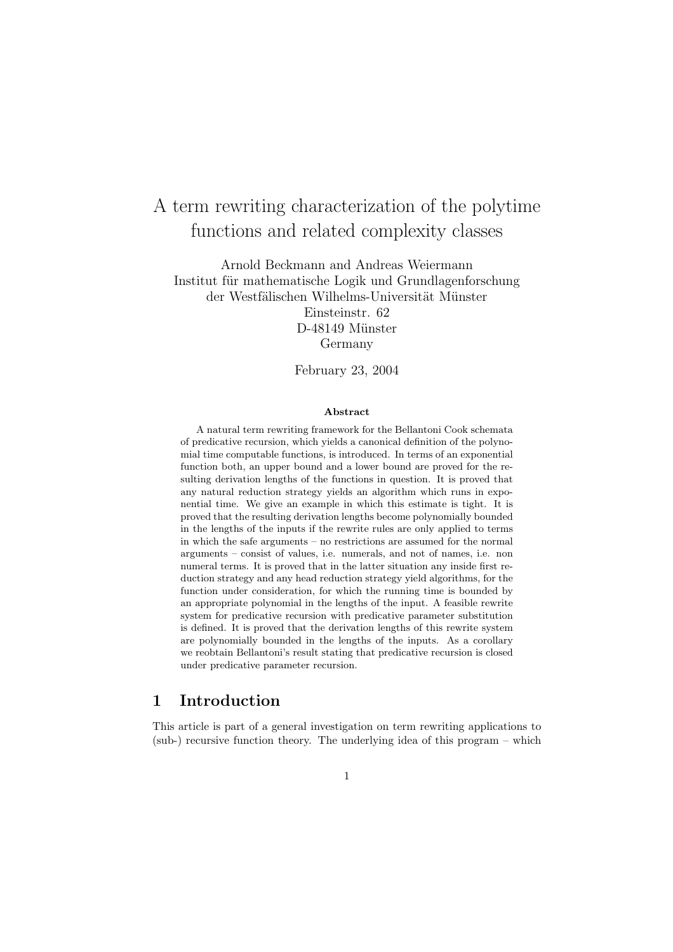# A term rewriting characterization of the polytime functions and related complexity classes

Arnold Beckmann and Andreas Weiermann Institut für mathematische Logik und Grundlagenforschung der Westfälischen Wilhelms-Universität Münster Einsteinstr. 62 D-48149 Münster Germany

February 23, 2004

#### Abstract

A natural term rewriting framework for the Bellantoni Cook schemata of predicative recursion, which yields a canonical definition of the polynomial time computable functions, is introduced. In terms of an exponential function both, an upper bound and a lower bound are proved for the resulting derivation lengths of the functions in question. It is proved that any natural reduction strategy yields an algorithm which runs in exponential time. We give an example in which this estimate is tight. It is proved that the resulting derivation lengths become polynomially bounded in the lengths of the inputs if the rewrite rules are only applied to terms in which the safe arguments – no restrictions are assumed for the normal arguments – consist of values, i.e. numerals, and not of names, i.e. non numeral terms. It is proved that in the latter situation any inside first reduction strategy and any head reduction strategy yield algorithms, for the function under consideration, for which the running time is bounded by an appropriate polynomial in the lengths of the input. A feasible rewrite system for predicative recursion with predicative parameter substitution is defined. It is proved that the derivation lengths of this rewrite system are polynomially bounded in the lengths of the inputs. As a corollary we reobtain Bellantoni's result stating that predicative recursion is closed under predicative parameter recursion.

# 1 Introduction

This article is part of a general investigation on term rewriting applications to (sub-) recursive function theory. The underlying idea of this program – which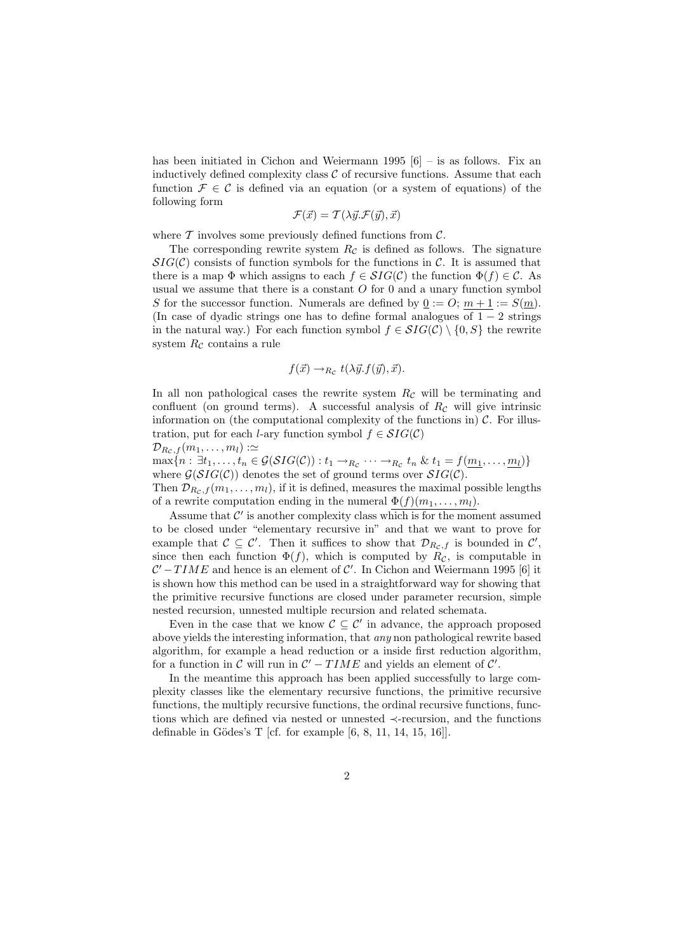has been initiated in Cichon and Weiermann 1995 [6] – is as follows. Fix an inductively defined complexity class  $\mathcal C$  of recursive functions. Assume that each function  $\mathcal{F} \in \mathcal{C}$  is defined via an equation (or a system of equations) of the following form

$$
\mathcal{F}(\vec{x}) = \mathcal{T}(\lambda \vec{y}.\mathcal{F}(\vec{y}), \vec{x})
$$

where  $\mathcal T$  involves some previously defined functions from  $\mathcal C$ .

The corresponding rewrite system  $R_c$  is defined as follows. The signature  $SIG(\mathcal{C})$  consists of function symbols for the functions in  $\mathcal{C}$ . It is assumed that there is a map  $\Phi$  which assigns to each  $f \in SIG(\mathcal{C})$  the function  $\Phi(f) \in \mathcal{C}$ . As usual we assume that there is a constant  $O$  for  $0$  and a unary function symbol S for the successor function. Numerals are defined by  $0 := O; m + 1 := S(m)$ . (In case of dyadic strings one has to define formal analogues of  $1 - 2$  strings in the natural way.) For each function symbol  $f \in SIG(\mathcal{C}) \setminus \{0, S\}$  the rewrite system  $R_c$  contains a rule

$$
f(\vec{x}) \rightarrow_{R_{\mathcal{C}}} t(\lambda \vec{y}.f(\vec{y}), \vec{x}).
$$

In all non pathological cases the rewrite system  $R_c$  will be terminating and confluent (on ground terms). A successful analysis of  $R_c$  will give intrinsic information on (the computational complexity of the functions in)  $\mathcal{C}$ . For illustration, put for each *l*-ary function symbol  $f \in SIG(\mathcal{C})$ 

$$
\mathcal{D}_{R_{\mathcal{C}},f}(m_1,\ldots,m_l): \simeq
$$

 $\max\{n : \exists t_1,\ldots,t_n \in \mathcal{G}(SIG(\mathcal{C})) : t_1 \rightarrow_{R_{\mathcal{C}}} \cdots \rightarrow_{R_{\mathcal{C}}} t_n \& t_1 = f(\underline{m_1},\ldots,\underline{m_l})\}\$ where  $\mathcal{G}(SIG(\mathcal{C}))$  denotes the set of ground terms over  $SIG(\mathcal{C})$ .

Then  $\mathcal{D}_{R_c,f}(m_1,\ldots,m_l)$ , if it is defined, measures the maximal possible lengths of a rewrite computation ending in the numeral  $\Phi(f)(m_1,\ldots,m_l)$ .

Assume that  $\mathcal{C}'$  is another complexity class which is for the moment assumed to be closed under "elementary recursive in" and that we want to prove for example that  $\mathcal{C} \subseteq \mathcal{C}'$ . Then it suffices to show that  $\mathcal{D}_{R_c,f}$  is bounded in  $\mathcal{C}'$ , since then each function  $\Phi(f)$ , which is computed by  $R_{\mathcal{C}}$ , is computable in  $\mathcal{C}' - TIME$  and hence is an element of  $\mathcal{C}'$ . In Cichon and Weiermann 1995 [6] it is shown how this method can be used in a straightforward way for showing that the primitive recursive functions are closed under parameter recursion, simple nested recursion, unnested multiple recursion and related schemata.

Even in the case that we know  $\mathcal{C} \subseteq \mathcal{C}'$  in advance, the approach proposed above yields the interesting information, that any non pathological rewrite based algorithm, for example a head reduction or a inside first reduction algorithm, for a function in C will run in  $C' - TIME$  and yields an element of C'.

In the meantime this approach has been applied successfully to large complexity classes like the elementary recursive functions, the primitive recursive functions, the multiply recursive functions, the ordinal recursive functions, functions which are defined via nested or unnested ≺-recursion, and the functions definable in Gödes's T [cf. for example  $[6, 8, 11, 14, 15, 16]$ ].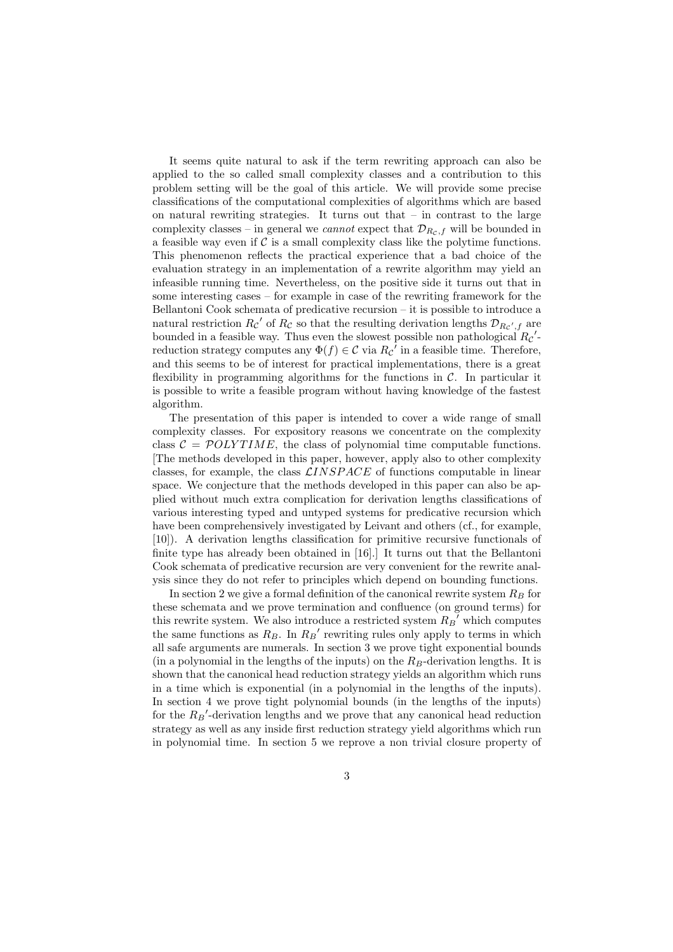It seems quite natural to ask if the term rewriting approach can also be applied to the so called small complexity classes and a contribution to this problem setting will be the goal of this article. We will provide some precise classifications of the computational complexities of algorithms which are based on natural rewriting strategies. It turns out that  $-$  in contrast to the large complexity classes – in general we *cannot* expect that  $\mathcal{D}_{R_c,f}$  will be bounded in a feasible way even if  $\mathcal C$  is a small complexity class like the polytime functions. This phenomenon reflects the practical experience that a bad choice of the evaluation strategy in an implementation of a rewrite algorithm may yield an infeasible running time. Nevertheless, on the positive side it turns out that in some interesting cases – for example in case of the rewriting framework for the Bellantoni Cook schemata of predicative recursion – it is possible to introduce a natural restriction  $R_{\mathcal{C}}'$  of  $R_{\mathcal{C}}$  so that the resulting derivation lengths  $\mathcal{D}_{R_{\mathcal{C}}',f}$  are bounded in a feasible way. Thus even the slowest possible non pathological  $R_{\mathcal{C}}'$ reduction strategy computes any  $\Phi(f) \in \mathcal{C}$  via  $R_{\mathcal{C}}'$  in a feasible time. Therefore, and this seems to be of interest for practical implementations, there is a great flexibility in programming algorithms for the functions in  $\mathcal{C}$ . In particular it is possible to write a feasible program without having knowledge of the fastest algorithm.

The presentation of this paper is intended to cover a wide range of small complexity classes. For expository reasons we concentrate on the complexity class  $C = \mathcal{P}OLYTIME$ , the class of polynomial time computable functions. [The methods developed in this paper, however, apply also to other complexity classes, for example, the class  $\mathcal{L}INSPACE$  of functions computable in linear space. We conjecture that the methods developed in this paper can also be applied without much extra complication for derivation lengths classifications of various interesting typed and untyped systems for predicative recursion which have been comprehensively investigated by Leivant and others (cf., for example, [10]). A derivation lengths classification for primitive recursive functionals of finite type has already been obtained in [16].] It turns out that the Bellantoni Cook schemata of predicative recursion are very convenient for the rewrite analysis since they do not refer to principles which depend on bounding functions.

In section 2 we give a formal definition of the canonical rewrite system  $R_B$  for these schemata and we prove termination and confluence (on ground terms) for this rewrite system. We also introduce a restricted system  $R_B'$  which computes the same functions as  $R_B$ . In  $R_B'$  rewriting rules only apply to terms in which all safe arguments are numerals. In section 3 we prove tight exponential bounds (in a polynomial in the lengths of the inputs) on the  $R_B$ -derivation lengths. It is shown that the canonical head reduction strategy yields an algorithm which runs in a time which is exponential (in a polynomial in the lengths of the inputs). In section 4 we prove tight polynomial bounds (in the lengths of the inputs) for the  $R_B'$ -derivation lengths and we prove that any canonical head reduction strategy as well as any inside first reduction strategy yield algorithms which run in polynomial time. In section 5 we reprove a non trivial closure property of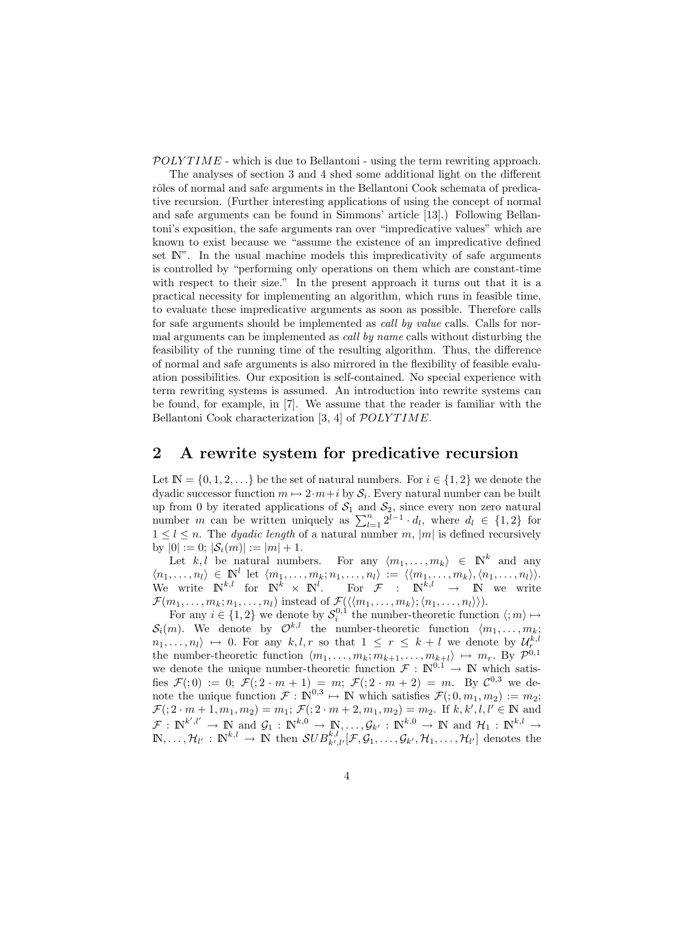$POLYTIME$  - which is due to Bellantoni - using the term rewriting approach.

The analyses of section 3 and 4 shed some additional light on the different rôles of normal and safe arguments in the Bellantoni Cook schemata of predicative recursion. (Further interesting applications of using the concept of normal and safe arguments can be found in Simmons' article [13].) Following Bellantoni's exposition, the safe arguments ran over "impredicative values" which are known to exist because we "assume the existence of an impredicative defined set  $\mathbb{N}^n$ . In the usual machine models this impredicativity of safe arguments is controlled by "performing only operations on them which are constant-time with respect to their size." In the present approach it turns out that it is a practical necessity for implementing an algorithm, which runs in feasible time, to evaluate these impredicative arguments as soon as possible. Therefore calls for safe arguments should be implemented as call by value calls. Calls for normal arguments can be implemented as call by name calls without disturbing the feasibility of the running time of the resulting algorithm. Thus, the difference of normal and safe arguments is also mirrored in the flexibility of feasible evaluation possibilities. Our exposition is self-contained. No special experience with term rewriting systems is assumed. An introduction into rewrite systems can be found, for example, in [7]. We assume that the reader is familiar with the Bellantoni Cook characterization [3, 4] of POLY TIME.

### 2 A rewrite system for predicative recursion

Let  $\mathbb{N} = \{0, 1, 2, \ldots\}$  be the set of natural numbers. For  $i \in \{1, 2\}$  we denote the dyadic successor function  $m \mapsto 2 \cdot m + i$  by  $S_i$ . Every natural number can be built up from 0 by iterated applications of  $S_1$  and  $S_2$ , since every non zero natural number m can be written uniquely as  $\sum_{l=1}^{n} 2^{l-1} \cdot d_l$ , where  $d_l \in \{1,2\}$  for  $1 \leq l \leq n$ . The *dyadic length* of a natural number m, |m| is defined recursively by  $|0| := 0$ ;  $|\mathcal{S}_i(m)| := |m| + 1$ .

Let k,l be natural numbers. For any  $\langle m_1, \ldots, m_k \rangle \in \mathbb{N}^k$  and any  $\langle n_1,\ldots,n_l\rangle\in\mathbb{N}^l$  let  $\langle m_1,\ldots,m_k;n_1,\ldots,n_l\rangle:=\langle\langle m_1,\ldots,m_k\rangle,\langle n_1,\ldots,n_l\rangle\rangle.$ We write  $\mathbb{N}^{k,l}$  for  $\mathbb{N}^k \times \mathbb{N}^l$ . For  $\mathcal{F}$  :  $\mathbb{N}^{k,l} \to \mathbb{N}$  we write  $\mathcal{F}(m_1,\ldots,m_k;n_1,\ldots,n_l)$  instead of  $\mathcal{F}(\langle\langle m_1,\ldots,m_k\rangle;\langle n_1,\ldots,n_l\rangle\rangle).$ 

For any  $i \in \{1,2\}$  we denote by  $\mathcal{S}_i^{0,1}$  the number-theoretic function  $\langle ; m \rangle \mapsto$  $S_i(m)$ . We denote by  $\mathcal{O}^{k,l}$  the number-theoretic function  $\langle m_1,\ldots,m_k;$  $n_1,\ldots,n_l\rangle \mapsto 0.$  For any  $k,l,r$  so that  $1 \leq r \leq k+l$  we denote by  $\mathcal{U}_r^{k,l}$ the number-theoretic function  $\langle m_1, \ldots, m_k; m_{k+1}, \ldots, m_{k+l} \rangle \mapsto m_r$ . By  $\mathcal{P}^{0,1}$ we denote the unique number-theoretic function  $\mathcal{F}: \mathbb{N}^{0,1} \to \mathbb{N}$  which satisfies  $\mathcal{F}(\tau;0) := 0; \ \mathcal{F}(\tau;2 \cdot m + 1) = m; \ \mathcal{F}(\tau;2 \cdot m + 2) = m.$  By  $\mathcal{C}^{0,3}$  we denote the unique function  $\mathcal{F}: \mathbb{N}^{0,3} \mapsto \mathbb{N}$  which satisfies  $\mathcal{F}(:,0,m_1,m_2) := m_2;$  $\mathcal{F}(|2 \cdot m+1, m_1, m_2) = m_1; \, \mathcal{F}(|2 \cdot m+2, m_1, m_2) = m_2.$  If  $k, k', l, l' \in \mathbb{N}$  and  $\mathcal{F}: \mathbb{N}^{k',l'} \to \mathbb{N}$  and  $\mathcal{G}_1: \mathbb{N}^{k,0} \to \mathbb{N}, \ldots, \mathcal{G}_{k'}: \mathbb{N}^{k,0} \to \mathbb{N}$  and  $\mathcal{H}_1: \mathbb{N}^{k,l} \to$  $\mathbb{N},\ldots,\mathcal{H}_{l'}:\mathbb{N}^{k,l}\to\mathbb{N}$  then  $\mathcal{S}UB_{k',l'}^{k,l}[\mathcal{F},\mathcal{G}_1,\ldots,\mathcal{G}_{k'},\mathcal{H}_1,\ldots,\mathcal{H}_{l'}]$  denotes the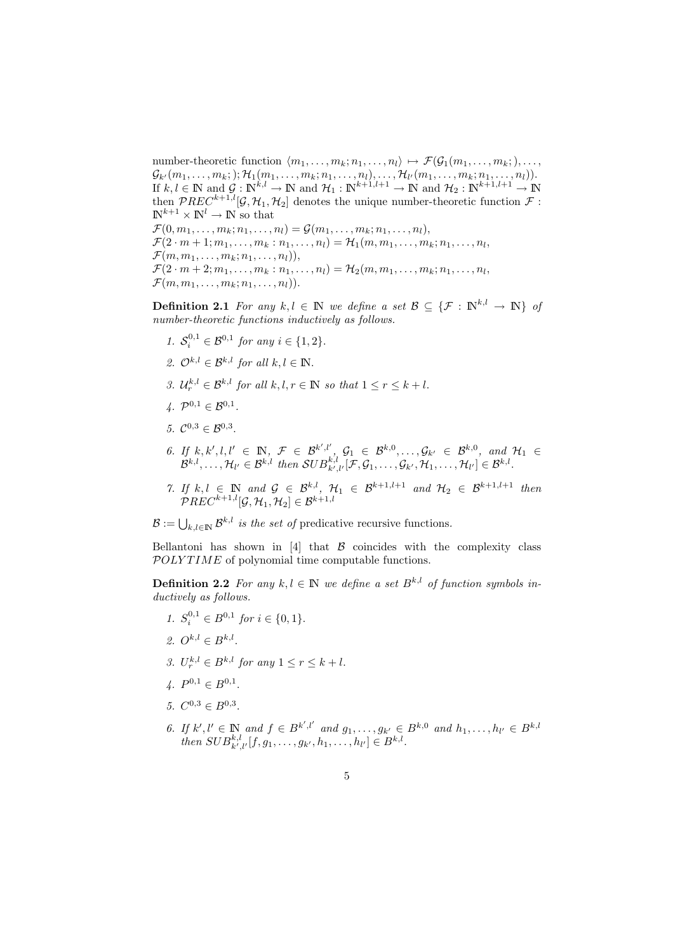number-theoretic function  $\langle m_1,\ldots,m_k; n_1,\ldots,n_l \rangle \mapsto \mathcal{F}(\mathcal{G}_1(m_1,\ldots,m_k;),\ldots,$  $\mathcal{G}_{k'}(m_1,\ldots,m_k;);$   $\mathcal{H}_1(m_1,\ldots,m_k;n_1,\ldots,n_l),$   $\ldots,\mathcal{H}_{l'}(m_1,\ldots,m_k;n_1,\ldots,n_l)).$ If  $k, l \in \mathbb{N}$  and  $\mathcal{G}: \mathbb{N}^{k, l} \to \mathbb{N}$  and  $\mathcal{H}_1: \mathbb{N}^{k+1, l+1} \to \mathbb{N}$  and  $\mathcal{H}_2: \mathbb{N}^{k+1, l+1} \to \mathbb{N}$ then  $\mathcal{P}REC^{k+1,l}[\mathcal{G}, \mathcal{H}_1, \mathcal{H}_2]$  denotes the unique number-theoretic function  $\mathcal{F}$ :  $\mathbb{N}^{k+1}\times \mathbb{N}^l \to \mathbb{N}$  so that  $\mathcal{F}(0,m_1,\ldots,m_k;n_1,\ldots,n_l) = \mathcal{G}(m_1,\ldots,m_k;n_1,\ldots,n_l),$  $\mathcal{F}(2 \cdot m+1; m_1, \ldots, m_k : n_1, \ldots, n_l) = \mathcal{H}_1(m, m_1, \ldots, m_k; n_1, \ldots, n_l,$  $\mathcal{F}(m,m_1,\ldots,m_k;n_1,\ldots,n_l)),$  $\mathcal{F}(2 \cdot m+2; m_1, \ldots, m_k : n_1, \ldots, n_l) = \mathcal{H}_2(m, m_1, \ldots, m_k; n_1, \ldots, n_l,$  $\mathcal{F}(m,m_1,\ldots,m_k;n_1,\ldots,n_l)).$ 

**Definition 2.1** For any  $k, l \in \mathbb{N}$  we define a set  $\mathcal{B} \subseteq \{ \mathcal{F} : \mathbb{N}^{k, l} \to \mathbb{N} \}$  of number-theoretic functions inductively as follows.

- 1.  $\mathcal{S}_i^{0,1} \in \mathcal{B}^{0,1}$  for any  $i \in \{1,2\}.$
- 2.  $\mathcal{O}^{k,l} \in \mathcal{B}^{k,l}$  for all  $k, l \in \mathbb{N}$ .
- 3.  $\mathcal{U}_r^{k,l} \in \mathcal{B}^{k,l}$  for all  $k,l,r \in \mathbb{N}$  so that  $1 \leq r \leq k+l$ .
- $4. \ \mathcal{P}^{0,1} \in \mathcal{B}^{0,1}.$
- 5.  $C^{0,3} \in \mathcal{B}^{0,3}$ .
- 6. If  $k, k', l, l' \in \mathbb{N}$ ,  $\mathcal{F} \in \mathcal{B}^{k',l'}$ ,  $\mathcal{G}_1 \in \mathcal{B}^{k,0}, \ldots, \mathcal{G}_{k'} \in \mathcal{B}^{k,0}$ , and  $\mathcal{H}_1 \in$  $\mathcal{B}^{k,l},\ldots,\mathcal{H}_{l'}\in\mathcal{B}^{k,l}$  then  $\mathcal{S}UB_{k',l'}^{k,l}[\mathcal{F},\mathcal{G}_1,\ldots,\mathcal{G}_{k'},\mathcal{H}_1,\ldots,\mathcal{H}_{l'}]\in\mathcal{B}^{k,l}.$
- 7. If  $k, l \in \mathbb{N}$  and  $\mathcal{G} \in \mathcal{B}^{k,l}, \mathcal{H}_1 \in \mathcal{B}^{k+1,l+1}$  and  $\mathcal{H}_2 \in \mathcal{B}^{k+1,l+1}$  then  $\mathcal{P}REC^{k+1,l}[\mathcal{G}, \mathcal{H}_1, \mathcal{H}_2] \in \mathcal{B}^{k+1,l}$

 $\mathcal{B} := \bigcup_{k,l \in \mathbb{N}} \mathcal{B}^{k,l}$  is the set of predicative recursive functions.

Bellantoni has shown in [4] that  $\beta$  coincides with the complexity class  $POLYTIME$  of polynomial time computable functions.

**Definition 2.2** For any  $k, l \in \mathbb{N}$  we define a set  $B^{k,l}$  of function symbols inductively as follows.

- 1.  $S_i^{0,1} \in B^{0,1}$  for  $i \in \{0,1\}.$
- 2.  $O^{k,l} \in B^{k,l}$ .
- 3.  $U_r^{k,l} \in B^{k,l}$  for any  $1 \leq r \leq k+l$ .
- $4. P^{0,1} \in B^{0,1}.$
- 5.  $C^{0,3} \in B^{0,3}$ .
- 6. If  $k', l' \in \mathbb{N}$  and  $f \in B^{k',l'}$  and  $g_1, \ldots, g_{k'} \in B^{k,0}$  and  $h_1, \ldots, h_{l'} \in B^{k,l}$ then  $SUB_{k',l'}^{k,l}[f,g_1,\ldots,g_{k'},h_1,\ldots,h_{l'}] \in B^{k,l}.$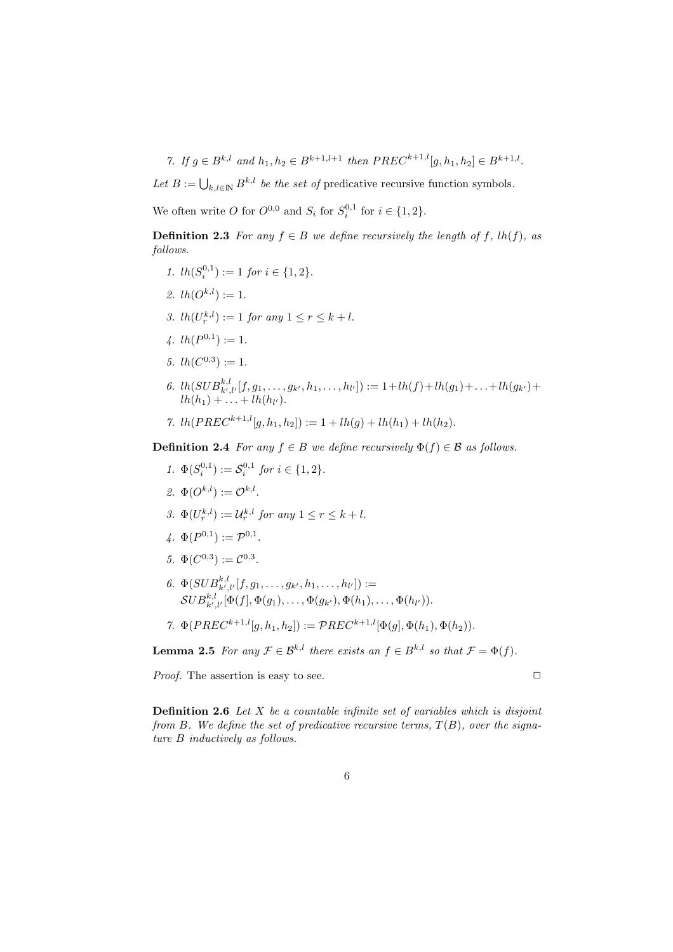7. If  $g \in B^{k,l}$  and  $h_1, h_2 \in B^{k+1,l+1}$  then  $PREC^{k+1,l}[g, h_1, h_2] \in B^{k+1,l}$ .

Let  $B := \bigcup_{k,l \in \mathbb{N}} B^{k,l}$  be the set of predicative recursive function symbols.

We often write O for  $O^{0,0}$  and  $S_i$  for  $S_i^{0,1}$  for  $i \in \{1,2\}$ .

**Definition 2.3** For any  $f \in B$  we define recursively the length of f, lh(f), as follows.

- 1.  $lh(S_i^{0,1}) := 1$  for  $i \in \{1,2\}.$
- 2.  $lh(O^{k,l}) := 1.$
- 3.  $lh(U_r^{k,l}) := 1$  for any  $1 \leq r \leq k+l$ .
- $4. \, lh(P^{0,1}) := 1.$
- 5.  $lh(C^{0,3}) := 1.$
- 6.  $lh(SUB^{k,l}_{k',l'}[f,g_1,\ldots,g_{k'},h_1,\ldots,h_{l'}]) := 1+lh(f)+lh(g_1)+\ldots+lh(g_{k'})+$  $lh(h_1)+\ldots+lh(h_{l'}).$
- 7.  $lh(PREC^{k+1,l}[q,h_1,h_2]) := 1 + lh(q) + lh(h_1) + lh(h_2).$

**Definition 2.4** For any  $f \in B$  we define recursively  $\Phi(f) \in B$  as follows.

- 1.  $\Phi(S_i^{0,1}) := S_i^{0,1}$  for  $i \in \{1,2\}.$
- 2.  $\Phi(O^{k,l}) := \mathcal{O}^{k,l}$ .
- 3.  $\Phi(U_r^{k,l}) := \mathcal{U}_r^{k,l}$  for any  $1 \leq r \leq k+l$ .
- $\varphi(P^{0,1}) := \mathcal{P}^{0,1}.$
- 5.  $\Phi(C^{0,3}) := C^{0,3}$ .
- 6.  $\Phi(SUB_{k',l'}^{k,l}[f,g_1,\ldots,g_{k'},h_1,\ldots,h_{l'}]) :=$  $\mathcal{S}UB_{k',l'}^{k,l}[\Phi(f],\Phi(g_1),\ldots,\Phi(g_{k'}),\Phi(h_1),\ldots,\Phi(h_{l'})).$
- 7.  $\Phi(PREC^{k+1,l}[q,h_1,h_2]) := PREC^{k+1,l}[\Phi(q], \Phi(h_1), \Phi(h_2)).$

**Lemma 2.5** For any  $\mathcal{F} \in \mathcal{B}^{k,l}$  there exists an  $f \in \mathcal{B}^{k,l}$  so that  $\mathcal{F} = \Phi(f)$ .

*Proof.* The assertion is easy to see.  $\Box$ 

**Definition 2.6** Let  $X$  be a countable infinite set of variables which is disjoint from B. We define the set of predicative recursive terms,  $T(B)$ , over the signature B inductively as follows.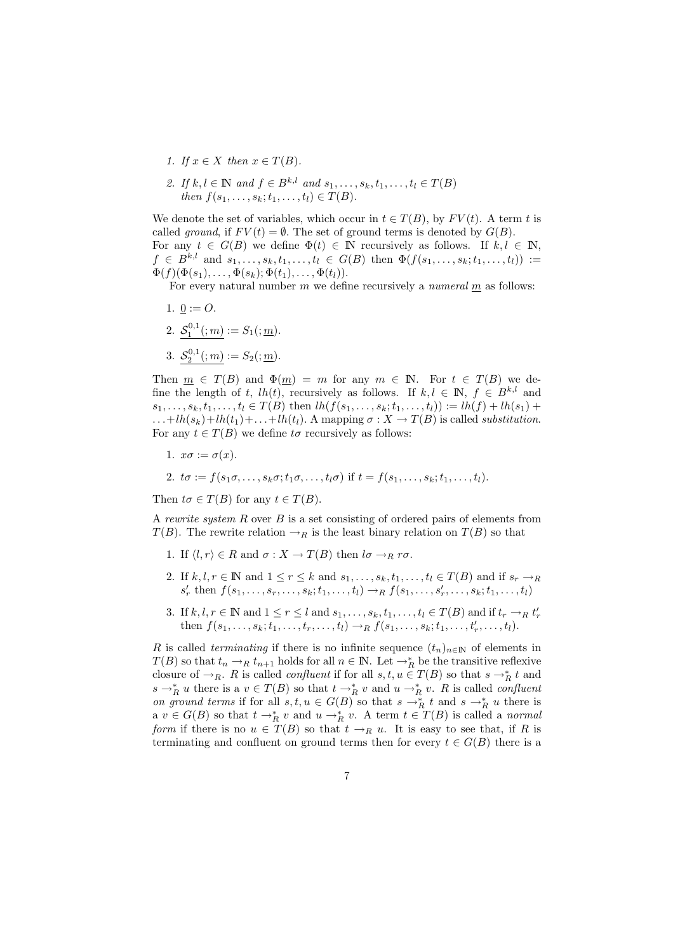- 1. If  $x \in X$  then  $x \in T(B)$ .
- 2. If  $k, l \in \mathbb{N}$  and  $f \in B^{k,l}$  and  $s_1, \ldots, s_k, t_1, \ldots, t_l \in T(B)$ then  $f(s_1, ..., s_k; t_1, ..., t_l) \in T(B)$ .

We denote the set of variables, which occur in  $t \in T(B)$ , by  $FV(t)$ . A term t is called *ground*, if  $FV(t) = \emptyset$ . The set of ground terms is denoted by  $G(B)$ . For any  $t \in G(B)$  we define  $\Phi(t) \in \mathbb{N}$  recursively as follows. If  $k, l \in \mathbb{N}$ ,  $f \in B^{k,l}$  and  $s_1, \ldots, s_k, t_1, \ldots, t_l \in G(B)$  then  $\Phi(f(s_1, \ldots, s_k; t_1, \ldots, t_l))$  :=  $\Phi(f)(\Phi(s_1),\ldots,\Phi(s_k);\Phi(t_1),\ldots,\Phi(t_l)).$ 

For every natural number  $m$  we define recursively a *numeral*  $m$  as follows:

- 1.  $0 := O$ .
- 2.  $S_1^{0,1}(m) := S_1(\underline{m})$ .
- 3.  $S_2^{0,1}(m) := S_2(\underline{m})$ .

Then  $m \in T(B)$  and  $\Phi(m) = m$  for any  $m \in \mathbb{N}$ . For  $t \in T(B)$  we define the length of t, lh(t), recursively as follows. If  $k, l \in \mathbb{N}$ ,  $f \in B^{k,l}$  and  $s_1, \ldots, s_k, t_1, \ldots, t_l \in T(B)$  then  $lh(f(s_1, \ldots, s_k; t_1, \ldots, t_l)) := lh(f) + lh(s_1) +$  $\dots + lh(s_k)+lh(t_1)+\dots+lh(t_l)$ . A mapping  $\sigma : X \to T(B)$  is called substitution. For any  $t \in T(B)$  we define  $t\sigma$  recursively as follows:

- 1.  $x\sigma := \sigma(x)$ .
- 2.  $t\sigma := f(s_1\sigma,\ldots,s_k\sigma;t_1\sigma,\ldots,t_l\sigma)$  if  $t = f(s_1,\ldots,s_k;t_1,\ldots,t_l)$ .

Then  $t\sigma \in T(B)$  for any  $t \in T(B)$ .

A rewrite system  $R$  over  $B$  is a set consisting of ordered pairs of elements from  $T(B)$ . The rewrite relation  $\rightarrow_R$  is the least binary relation on  $T(B)$  so that

- 1. If  $\langle l, r \rangle \in R$  and  $\sigma : X \to T(B)$  then  $l\sigma \to_R r\sigma$ .
- 2. If  $k, l, r \in \mathbb{N}$  and  $1 \leq r \leq k$  and  $s_1, \ldots, s_k, t_1, \ldots, t_l \in T(B)$  and if  $s_r \to_R$  $s'_r$  then  $f(s_1, ..., s_r, ..., s_k; t_1, ..., t_l) \rightarrow_R f(s_1, ..., s'_r, ..., s_k; t_1, ..., t_l)$
- 3. If  $k, l, r \in \mathbb{N}$  and  $1 \le r \le l$  and  $s_1, \ldots, s_k, t_1, \ldots, t_l \in T(B)$  and if  $t_r \to_R t'_r$ then  $f(s_1, ..., s_k; t_1, ..., t_r, ..., t_l) \rightarrow_R f(s_1, ..., s_k; t_1, ..., t'_r, ..., t_l)$ .

R is called terminating if there is no infinite sequence  $(t_n)_{n\in\mathbb{N}}$  of elements in  $T(B)$  so that  $t_n \to_R t_{n+1}$  holds for all  $n \in \mathbb{N}$ . Let  $\to_R^*$  be the transitive reflexive closure of  $\rightarrow_R$ . R is called *confluent* if for all  $s, t, u \in T(B)$  so that  $s \rightarrow_R^* t$  and  $s \to_R^* u$  there is a  $v \in T(B)$  so that  $t \to_R^* v$  and  $u \to_R^* v$ . R is called *confluent* on ground terms if for all  $s, t, u \in G(B)$  so that  $s \to_R^* t$  and  $s \to_R^* u$  there is  $a \ v \in G(B)$  so that  $t \to_R^* v$  and  $u \to_R^* v$ . A term  $t \in T(B)$  is called a normal form if there is no  $u \in T(B)$  so that  $t \to_R u$ . It is easy to see that, if R is terminating and confluent on ground terms then for every  $t \in G(B)$  there is a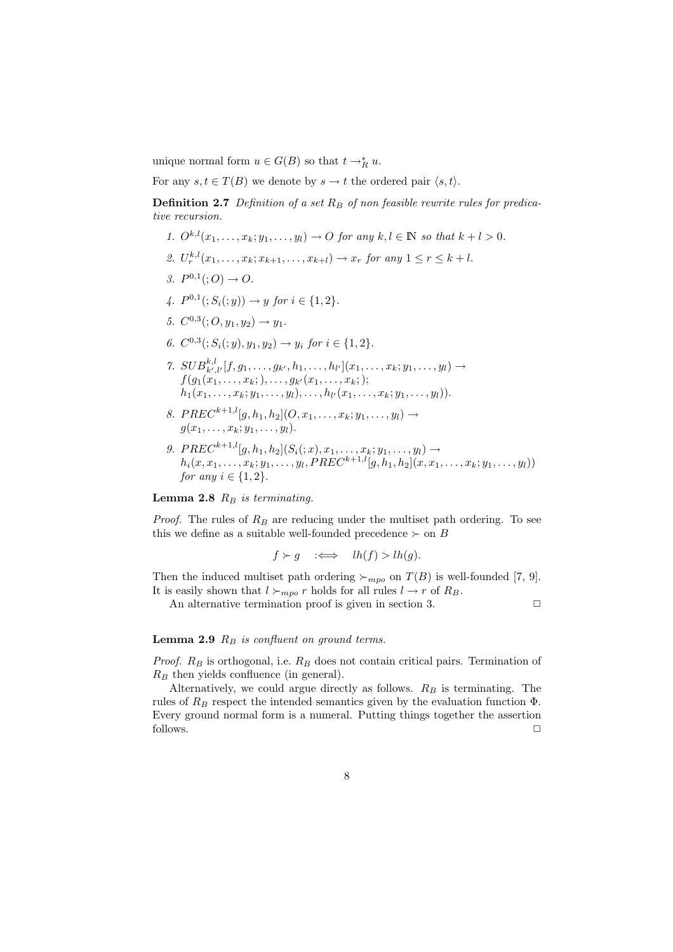unique normal form  $u \in G(B)$  so that  $t \to_R^* u$ .

For any  $s, t \in T(B)$  we denote by  $s \to t$  the ordered pair  $\langle s, t \rangle$ .

**Definition 2.7** Definition of a set  $R_B$  of non feasible rewrite rules for predicative recursion.

- 1.  $O^{k,l}(x_1,\ldots,x_k;y_1,\ldots,y_l)\rightarrow O$  for any  $k,l\in\mathbb{N}$  so that  $k+l>0$ .
- 2.  $U_r^{k,l}(x_1,\ldots,x_k;x_{k+1},\ldots,x_{k+l}) \to x_r$  for any  $1 \leq r \leq k+l$ .
- 3.  $P^{0,1}(.;O) \to O.$
- 4.  $P^{0,1}(|;S_i(y)) \to y$  for  $i \in \{1,2\}.$
- 5.  $C^{0,3}$  $(; O, y_1, y_2) \rightarrow y_1$ .
- 6.  $C^{0,3}$  $(:, S_i( ; y), y_1, y_2) \rightarrow y_i$  for  $i \in \{1,2\}.$
- 7.  $SUB_{k',l'}^{k,l} [f,g_1,\ldots,g_{k'},h_1,\ldots,h_{l'}](x_1,\ldots,x_k;y_1,\ldots,y_l) \rightarrow$  $f(g_1(x_1,\ldots,x_k;),\ldots,g_{k'}(x_1,\ldots,x_k;);$  $h_1(x_1, \ldots, x_k; y_1, \ldots, y_l), \ldots, h_{l'}(x_1, \ldots, x_k; y_1, \ldots, y_l)).$
- 8.  $PREC^{k+1,l}[q,h_1,h_2](O,x_1,\ldots,x_k;y_1,\ldots,y_l) \rightarrow$  $g(x_1, \ldots, x_k; y_1, \ldots, y_l).$
- 9.  $PREC^{k+1,l}[g,h_1,h_2](S_i(:,x),x_1,\ldots,x_k;y_1,\ldots,y_l) \rightarrow$  $h_i(x, x_1, \ldots, x_k; y_1, \ldots, y_l, PREC^{k+1,l}[g, h_1, h_2](x, x_1, \ldots, x_k; y_1, \ldots, y_l))$ for any  $i \in \{1,2\}$ .

**Lemma 2.8**  $R_B$  is terminating.

*Proof.* The rules of  $R_B$  are reducing under the multiset path ordering. To see this we define as a suitable well-founded precedence  $\succ$  on B

$$
f \succ g \iff lh(f) > lh(g).
$$

Then the induced multiset path ordering  $\succ_{mpo}$  on  $T(B)$  is well-founded [7, 9]. It is easily shown that  $l \succ_{mpo} r$  holds for all rules  $l \to r$  of  $R_B$ .

An alternative termination proof is given in section 3.  $\Box$ 

#### **Lemma 2.9**  $R_B$  is confluent on ground terms.

*Proof.*  $R_B$  is orthogonal, i.e.  $R_B$  does not contain critical pairs. Termination of  $R_B$  then yields confluence (in general).

Alternatively, we could argue directly as follows.  $R_B$  is terminating. The rules of  $R_B$  respect the intended semantics given by the evaluation function  $\Phi$ . Every ground normal form is a numeral. Putting things together the assertion follows.  $\Box$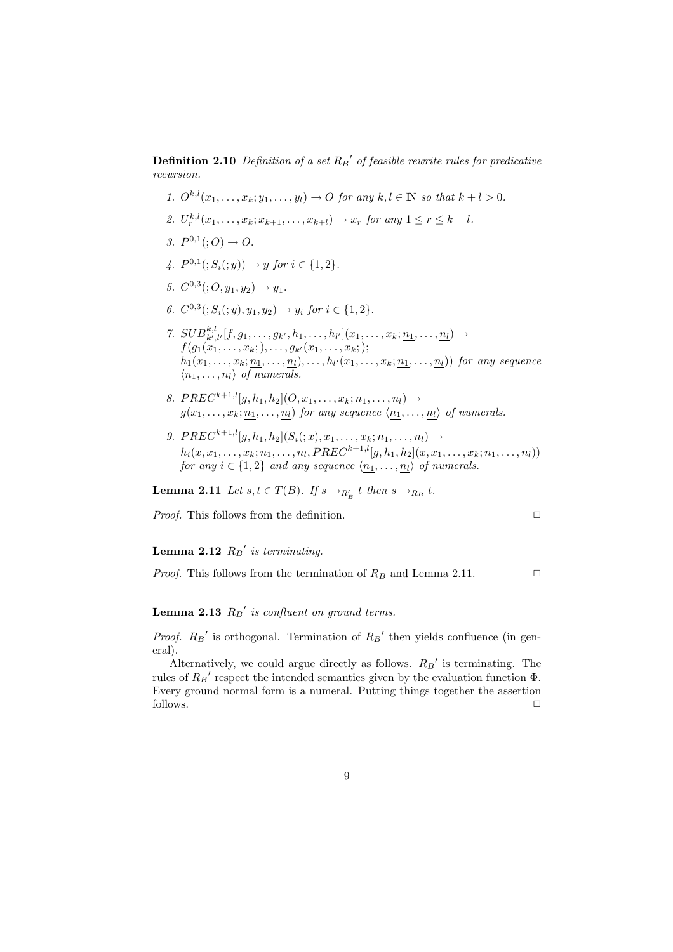**Definition 2.10** Definition of a set  $R_B'$  of feasible rewrite rules for predicative recursion.

- 1.  $O^{k,l}(x_1,\ldots,x_k; y_1,\ldots,y_l) \to O$  for any  $k, l \in \mathbb{N}$  so that  $k+l > 0$ .
- 2.  $U_r^{k,l}(x_1,\ldots,x_k;x_{k+1},\ldots,x_{k+l}) \to x_r$  for any  $1 \leq r \leq k+l$ .
- 3.  $P^{0,1}(.;O) \to O.$
- 4.  $P^{0,1}((;S_i(j)) \to y \text{ for } i \in \{1,2\}).$
- 5.  $C^{0,3}$  $(; O, y_1, y_2) \rightarrow y_1$ .
- 6.  $C^{0,3}$  $(:, S_i( ; y), y_1, y_2) \rightarrow y_i$  for  $i \in \{1,2\}.$
- 7.  $SUB_{k',l'}^{k,l} [f,g_1,\ldots,g_{k'},h_1,\ldots,h_{l'}](x_1,\ldots,x_k;\underline{n_1},\ldots,\underline{n_l}) \rightarrow$  $f(g_1(x_1,\ldots,x_k;),\ldots,g_{k'}(x_1,\ldots,x_k;);$  $h_1(x_1,\ldots,x_k;\underline{n_1},\ldots,\underline{n_l}),\ldots,h_{l'}(x_1,\ldots,x_k;\underline{n_1},\ldots,\underline{n_l}))$  for any sequence  $\langle n_1, \ldots, n_l \rangle$  of numerals.
- 8.  $PREC^{k+1,l}[g,h_1,h_2](O,x_1,\ldots,x_k;\underline{n_1},\ldots,\underline{n_l}) \rightarrow$  $g(x_1, \ldots, x_k; \underline{n_1}, \ldots, \underline{n_l})$  for any sequence  $\langle \underline{n_1}, \ldots, \underline{n_l} \rangle$  of numerals.
- 9.  $PREC^{k+1,l}[g,h_1,h_2](S_i(:,x),x_1,\ldots,x_k;\underline{n_1},\ldots,\underline{n_l}) \rightarrow$  $h_i(x, x_1, \ldots, x_k; \underline{n_1}, \ldots, \underline{n_l}, PREC^{k+1,l}[g, h_1, h_2](x, x_1, \ldots, x_k; \underline{n_1}, \ldots, \underline{n_l}))$ for any  $i \in \{1,2\}$  and any sequence  $\langle n_1,\ldots,n_l\rangle$  of numerals.

**Lemma 2.11** Let  $s, t \in T(B)$ . If  $s \rightarrow_{R'_B} t$  then  $s \rightarrow_{R_B} t$ .

*Proof.* This follows from the definition.  $\Box$ 

#### **Lemma 2.12**  $R_B'$  is terminating.

*Proof.* This follows from the termination of  $R_B$  and Lemma 2.11.  $\square$ 

#### **Lemma 2.13**  $R_B'$  is confluent on ground terms.

*Proof.*  $R_B'$  is orthogonal. Termination of  $R_B'$  then yields confluence (in general).

Alternatively, we could argue directly as follows.  $R_B'$  is terminating. The rules of  $R_B'$  respect the intended semantics given by the evaluation function  $\Phi$ . Every ground normal form is a numeral. Putting things together the assertion  $\Box$  follows.  $\Box$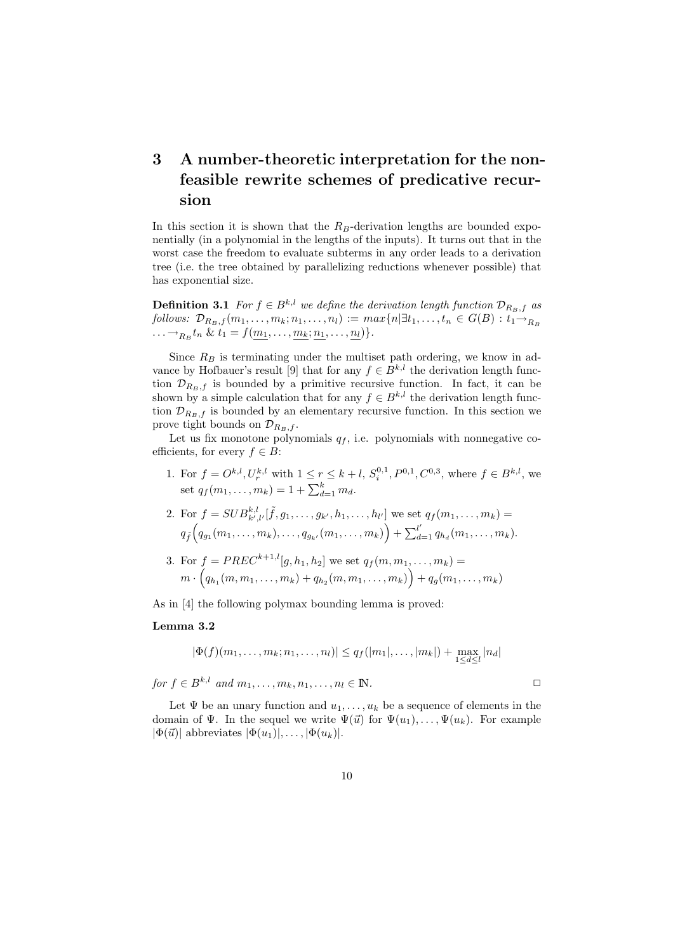# 3 A number-theoretic interpretation for the nonfeasible rewrite schemes of predicative recursion

In this section it is shown that the  $R_B$ -derivation lengths are bounded exponentially (in a polynomial in the lengths of the inputs). It turns out that in the worst case the freedom to evaluate subterms in any order leads to a derivation tree (i.e. the tree obtained by parallelizing reductions whenever possible) that has exponential size.

**Definition 3.1** For  $f \in B^{k,l}$  we define the derivation length function  $\mathcal{D}_{R_B,f}$  as follows:  $\mathcal{D}_{R_B,f}(m_1,\ldots,m_k;n_1,\ldots,n_l) := max\{n|\exists t_1,\ldots,t_n \in G(B) : t_1 \rightarrow_{R_B} \ldots \in G(B) \}$  $\ldots \rightarrow_{R_B} t_n \& t_1 = f(\underline{m_1}, \ldots, \underline{m_k}; \underline{n_1}, \ldots, \underline{n_l})\}.$ 

Since  $R_B$  is terminating under the multiset path ordering, we know in advance by Hofbauer's result [9] that for any  $f \in B^{k,l}$  the derivation length function  $\mathcal{D}_{R_B,f}$  is bounded by a primitive recursive function. In fact, it can be shown by a simple calculation that for any  $f \in B^{k,l}$  the derivation length function  $\mathcal{D}_{R_B,f}$  is bounded by an elementary recursive function. In this section we prove tight bounds on  $\mathcal{D}_{R_B,f}$ .

Let us fix monotone polynomials  $q_f$ , i.e. polynomials with nonnegative coefficients, for every  $f \in B$ :

1. For  $f = O^{k,l}, U_r^{k,l}$  with  $1 \le r \le k+l$ ,  $S_i^{0,1}, P^{0,1}, C^{0,3}$ , where  $f \in B^{k,l}$ , we set  $q_f(m_1,...,m_k) = 1 + \sum_{d=1}^k m_d$ .

2. For 
$$
f = SUB_{k',l'}^{\mathbf{k},l}[\tilde{f}, g_1, \ldots, g_{k'}, h_1, \ldots, h_{l'}]
$$
 we set  $q_f(m_1, \ldots, m_k) =$   
 $q_{\tilde{f}}(q_{g_1}(m_1, \ldots, m_k), \ldots, q_{g_{k'}}(m_1, \ldots, m_k)) + \sum_{d=1}^{l'} q_{h_d}(m_1, \ldots, m_k).$ 

3. For  $f = PREC^{k+1,l}[g,h_1,h_2]$  we set  $q_f(m,m_1,...,m_k) =$  $m \cdot (q_{h_1}(m, m_1, \ldots, m_k) + q_{h_2}(m, m_1, \ldots, m_k)) + q_g(m_1, \ldots, m_k)$ 

As in [4] the following polymax bounding lemma is proved:

#### Lemma 3.2

$$
|\Phi(f)(m_1,\ldots,m_k;n_1,\ldots,n_l)| \le q_f(|m_1|,\ldots,|m_k|) + \max_{1 \le d \le l} |n_d|
$$

for  $f \in B^{k,l}$  and  $m_1, \ldots, m_k, n_1, \ldots, n_l \in \mathbb{N}$ .

Let  $\Psi$  be an unary function and  $u_1, \ldots, u_k$  be a sequence of elements in the domain of  $\Psi$ . In the sequel we write  $\Psi(\vec{u})$  for  $\Psi(u_1),\ldots,\Psi(u_k)$ . For example  $|\Phi(\vec{u})|$  abbreviates  $|\Phi(u_1)|,\ldots, |\Phi(u_k)|$ .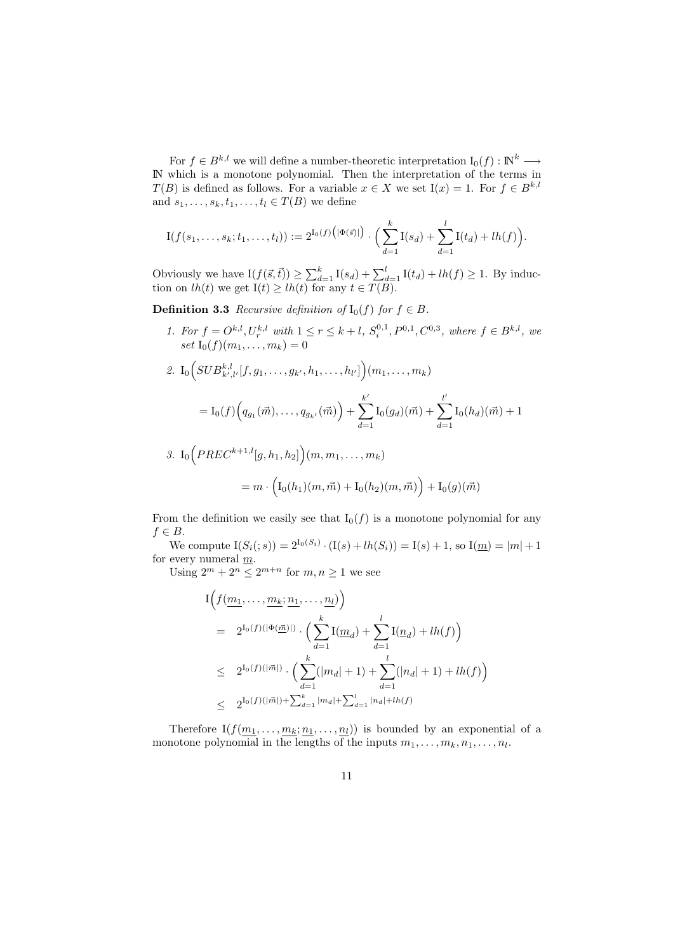For  $f \in B^{k,l}$  we will define a number-theoretic interpretation  $I_0(f) : \mathbb{N}^k \longrightarrow$ IN which is a monotone polynomial. Then the interpretation of the terms in  $T(B)$  is defined as follows. For a variable  $x \in X$  we set  $I(x) = 1$ . For  $f \in B^{k,l}$ and  $s_1, \ldots, s_k, t_1, \ldots, t_l \in T(B)$  we define

$$
I(f(s_1,\ldots,s_k;t_1,\ldots,t_l)) := 2^{I_0(f)\big(|\Phi(\vec{s})|\big)} \cdot \Big(\sum_{d=1}^k I(s_d) + \sum_{d=1}^l I(t_d) + lh(f)\Big).
$$

Obviously we have  $I(f(\vec{s}, \vec{t})) \ge \sum_{d=1}^{k} I(s_d) + \sum_{d=1}^{l} I(t_d) + lh(f) \ge 1$ . By induction on  $lh(t)$  we get  $I(t) \geq lh(t)$  for any  $t \in T(B)$ .

**Definition 3.3** Recursive definition of  $I_0(f)$  for  $f \in B$ .

1. For  $f = O^{k,l}, U_r^{k,l}$  with  $1 \le r \le k+l$ ,  $S_i^{0,1}, P^{0,1}, C^{0,3}$ , where  $f \in B^{k,l}$ , we  $set I_0(f)(m_1,...,m_k) = 0$ 

2. 
$$
I_0\Big(SUB_{k',l'}^{k,l}[f,g_1,\ldots,g_{k'},h_1,\ldots,h_{l'}]\Big)(m_1,\ldots,m_k)
$$
  
=  $I_0(f)\Big(q_{g_1}(\vec{m}),\ldots,q_{g_{k'}}(\vec{m})\Big)+\sum_{d=1}^{k'}I_0(g_d)(\vec{m})+\sum_{d=1}^{l'}I_0(h_d)(\vec{m})+1$ 

3. 
$$
I_0\Big(PREC^{k+1,l}[g, h_1, h_2]\Big)(m, m_1, \dots, m_k)
$$
  
=  $m \cdot \Big(I_0(h_1)(m, \vec{m}) + I_0(h_2)(m, \vec{m})\Big) + I_0(g)(\vec{m})$ 

From the definition we easily see that  $I_0(f)$  is a monotone polynomial for any  $f \in B$ .

We compute  $I(S_i(:, s)) = 2^{I_0(S_i)} \cdot (I(s) + lh(S_i)) = I(s) + 1$ , so  $I(\underline{m}) = |m| + 1$ for every numeral  $\underline{m}.$ 

Using  $2^m + 2^n \leq 2^{m+n}$  for  $m, n \geq 1$  we see

$$
\begin{split}\n&\mathcal{I}\Big(f(\underline{m_1},\ldots,\underline{m_k};\underline{n_1},\ldots,\underline{n_l})\Big) \\
&= 2^{\mathrm{I_0}(f)(|\Phi(\vec{m})|)} \cdot \Big(\sum_{d=1}^k \mathrm{I}(\underline{m}_d) + \sum_{d=1}^l \mathrm{I}(\underline{n}_d) + lh(f)\Big) \\
&\leq 2^{\mathrm{I_0}(f)(|\vec{m}|)} \cdot \Big(\sum_{d=1}^k (|m_d|+1) + \sum_{d=1}^l (|n_d|+1) + lh(f)\Big) \\
&\leq 2^{\mathrm{I_0}(f)(|\vec{m}|) + \sum_{d=1}^k |m_d| + \sum_{d=1}^l |n_d| + lh(f)}\n\end{split}
$$

Therefore I $(f(m_1,\ldots,m_k;n_1,\ldots,n_l))$  is bounded by an exponential of a monotone polynomial in the lengths of the inputs  $m_1, \ldots, m_k, n_1, \ldots, n_l$ .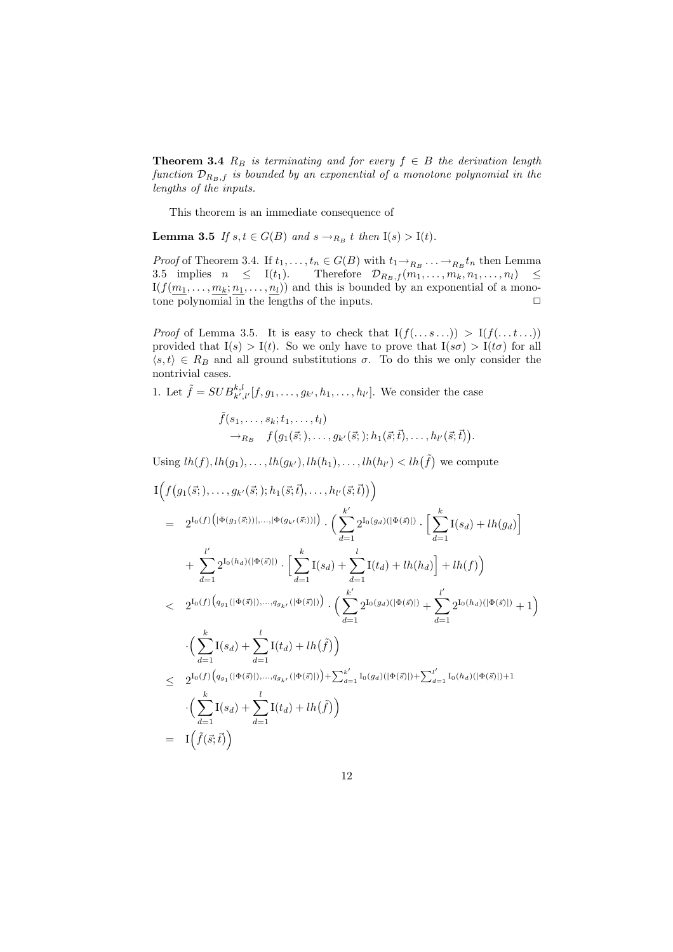**Theorem 3.4**  $R_B$  is terminating and for every  $f \in B$  the derivation length function  $\mathcal{D}_{R_B,f}$  is bounded by an exponential of a monotone polynomial in the lengths of the inputs.

This theorem is an immediate consequence of

**Lemma 3.5** If  $s, t \in G(B)$  and  $s \to_{R_B} t$  then  $I(s) > I(t)$ .

*Proof* of Theorem 3.4. If  $t_1, \ldots, t_n \in G(B)$  with  $t_1 \rightarrow_{R_B} \ldots \rightarrow_{R_B} t_n$  then Lemma 3.5 implies  $n \leq I(t_1)$ . Therefore  $\mathcal{D}_{R_B,f}(m_1,\ldots,m_k,n_1,\ldots,n_l) \leq$  $I(f(m_1,\ldots,m_k; n_1,\ldots,n_l))$  and this is bounded by an exponential of a monotone polynomial in the lengths of the inputs.  $\Box$ 

*Proof* of Lemma 3.5. It is easy to check that  $I(f(\ldots s \ldots)) > I(f(\ldots t \ldots))$ provided that  $I(s) > I(t)$ . So we only have to prove that  $I(s\sigma) > I(t\sigma)$  for all  $\langle s,t \rangle \in R_B$  and all ground substitutions  $\sigma$ . To do this we only consider the nontrivial cases.

1. Let  $\tilde{f} = SUB_{k',l'}^{k,l}[f,g_1,\ldots,g_{k'},h_1,\ldots,h_{l'}].$  We consider the case

$$
\tilde{f}(s_1,\ldots,s_k;t_1,\ldots,t_l) \n\rightarrow_{R_B} f(g_1(\vec{s};\ldots,g_{k'}(\vec{s};\cdot);h_1(\vec{s};\vec{t}),\ldots,h_{l'}(\vec{s};\vec{t})).
$$

Using  $lh(f), lh(g_1), \ldots, lh(g_{k'}), lh(h_1), \ldots, lh(h_{l'}) < lh(\tilde{f})$  we compute

$$
I(f(g_1(\vec{s};),...,g_{k'}(\vec{s};);h_1(\vec{s};\vec{t}),...,h_{l'}(\vec{s};\vec{t})))
$$
\n
$$
= 2^{I_0(f) \left( |\Phi(g_1(\vec{s};))|, ..., |\Phi(g_{k'}(\vec{s};))| \right)} \cdot \left( \sum_{d=1}^{k'} 2^{I_0(g_d)(|\Phi(\vec{s})|)} \cdot \left[ \sum_{d=1}^{k} I(s_d) + lh(g_d) \right] + \sum_{d=1}^{l'} 2^{I_0(h_d)(|\Phi(\vec{s})|)} \cdot \left[ \sum_{d=1}^{k} I(s_d) + \sum_{d=1}^{l} I(t_d) + lh(h_d) \right] + lh(f) \right) < 2^{I_0(f) \left( q_{g_1} (|\Phi(\vec{s})|), ..., q_{g_{k'}} (|\Phi(\vec{s})|) \right)} \cdot \left( \sum_{d=1}^{k'} 2^{I_0(g_d)(|\Phi(\vec{s})|)} + \sum_{d=1}^{l'} 2^{I_0(h_d)(|\Phi(\vec{s})|)} + 1 \right) < \cdot \left( \sum_{d=1}^{k} I(s_d) + \sum_{d=1}^{l} I(t_d) + lh(\tilde{f}) \right) < 2^{I_0(f) \left( q_{g_1} (|\Phi(\vec{s})|), ..., q_{g_{k'}} (|\Phi(\vec{s})|) \right) + \sum_{d=1}^{k'} I_0(g_d)(|\Phi(\vec{s})|) + \sum_{d=1}^{l'} I_0(h_d)(|\Phi(\vec{s})|) + 1 < \cdot \left( \sum_{d=1}^{k} I(s_d) + \sum_{d=1}^{l} I(t_d) + lh(\tilde{f}) \right) = I\left( \tilde{f}(\vec{s};\vec{t}) \right)
$$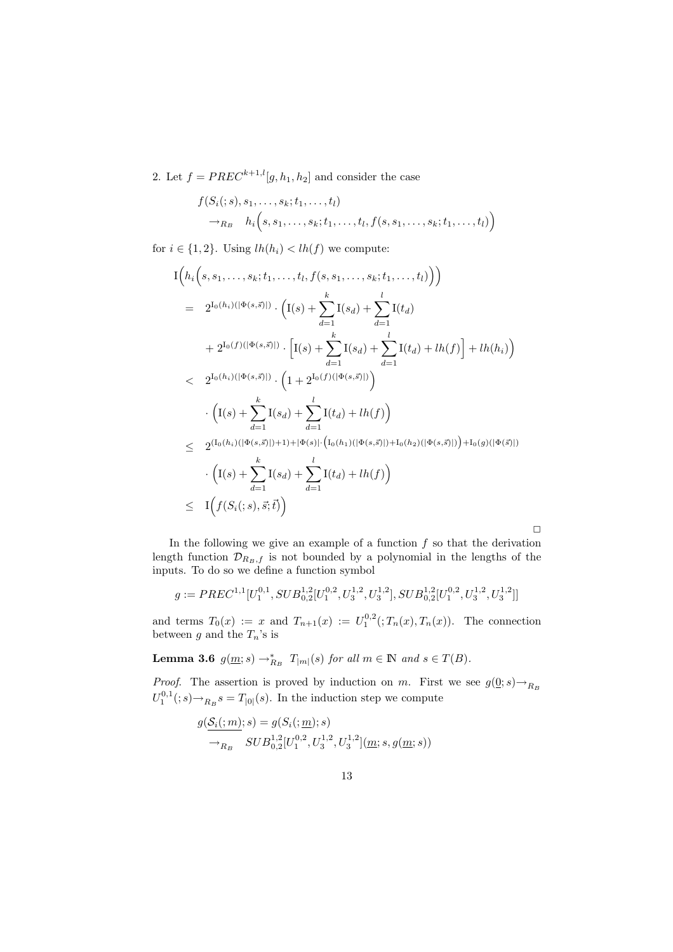2. Let  $f = PREC^{k+1,l}[g,h_1,h_2]$  and consider the case

$$
f(S_i(:,s), s_1, \ldots, s_k; t_1, \ldots, t_l)
$$
  
\n
$$
\rightarrow_{R_B} h_i(s, s_1, \ldots, s_k; t_1, \ldots, t_l, f(s, s_1, \ldots, s_k; t_1, \ldots, t_l))
$$

for  $i \in \{1, 2\}$ . Using  $lh(h_i) < lh(f)$  we compute:

$$
I(h_i(s, s_1, \ldots, s_k; t_1, \ldots, t_l, f(s, s_1, \ldots, s_k; t_1, \ldots, t_l))
$$
\n
$$
= 2^{I_0(h_i)(|\Phi(s, \vec{s})|)} \cdot \left( I(s) + \sum_{d=1}^k I(s_d) + \sum_{d=1}^l I(t_d) + 2^{I_0(f)(|\Phi(s, \vec{s})|)} \cdot \left[ I(s) + \sum_{d=1}^k I(s_d) + \sum_{d=1}^l I(t_d) + lh(f) \right] + lh(h_i) \right)
$$
\n
$$
< 2^{I_0(h_i)(|\Phi(s, \vec{s})|)} \cdot \left( 1 + 2^{I_0(f)(|\Phi(s, \vec{s})|)} \right)
$$
\n
$$
\cdot \left( I(s) + \sum_{d=1}^k I(s_d) + \sum_{d=1}^l I(t_d) + lh(f) \right)
$$
\n
$$
\leq 2^{(I_0(h_i)(|\Phi(s, \vec{s})|)+1)+|\Phi(s)|} \cdot \left( I_0(h_1)(|\Phi(s, \vec{s})|) + I_0(h_2)(|\Phi(s, \vec{s})|) \right) + I_0(g)(|\Phi(\vec{s})|)
$$
\n
$$
\cdot \left( I(s) + \sum_{d=1}^k I(s_d) + \sum_{d=1}^l I(t_d) + lh(f) \right)
$$
\n
$$
\leq I\left( f(S_i(s), s; \vec{t}) \right)
$$

In the following we give an example of a function  $f$  so that the derivation length function  $\mathcal{D}_{R_B,f}$  is not bounded by a polynomial in the lengths of the inputs. To do so we define a function symbol

 $\Box$ 

$$
g:= PREC^{1,1}[U_1^{0,1},SUB_{0,2}^{1,2}[U_1^{0,2},U_3^{1,2},U_3^{1,2}],SUB_{0,2}^{1,2}[U_1^{0,2},U_3^{1,2},U_3^{1,2}]]\\
$$

and terms  $T_0(x) := x$  and  $T_{n+1}(x) := U_1^{0,2}(\mathcal{F}_n(x), T_n(x))$ . The connection between g and the  $T_n$ 's is

**Lemma 3.6**  $g(\underline{m}; s) \to_{R_B}^* T_{|m|}(s)$  for all  $m \in \mathbb{N}$  and  $s \in T(B)$ .

*Proof.* The assertion is proved by induction on m. First we see  $g(0; s) \rightarrow_{R_B}$  $U_1^{0,1}(s) \rightarrow_{R_B} s = T_{|0|}(s)$ . In the induction step we compute

$$
g(\underbrace{S_i(:,m)}_{\rightarrow_{R_B}}; s) = g(S_i(:,m); s)
$$
  
\n
$$
\rightarrow_{R_B} SUB_{0,2}^{1,2}[U_1^{0,2}, U_3^{1,2}, U_3^{1,2}](m; s, g(m; s))
$$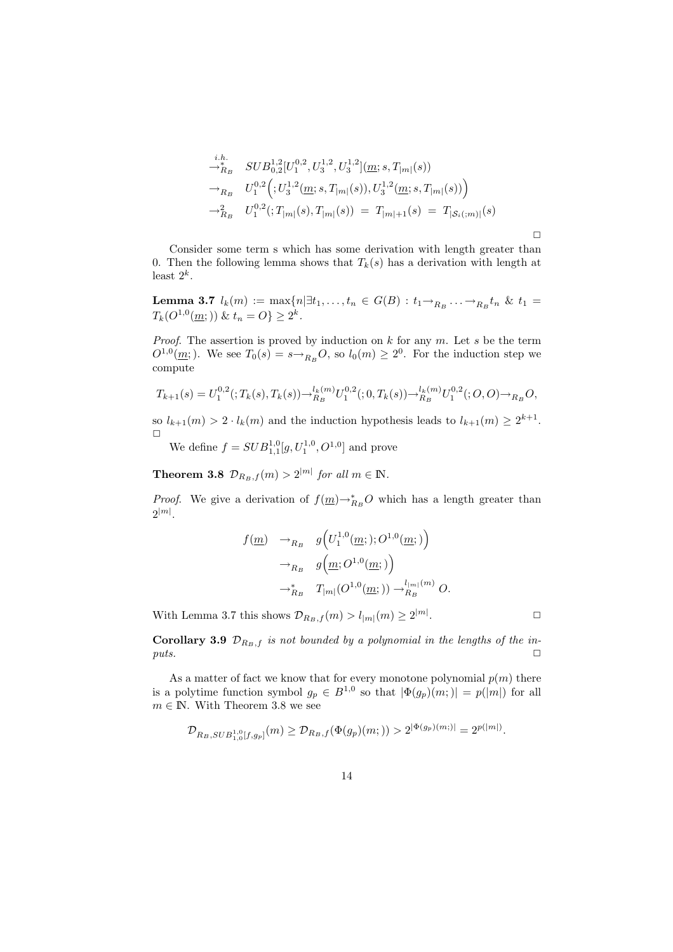$$
\begin{aligned}\n& \stackrel{i.h.}{\rightarrow}_{R_B}^{\text{i.h.}} & SUB_{0,2}^{1,2}[U_1^{0,2}, U_3^{1,2}, U_3^{1,2}](\underline{m}; s, T_{|m|}(s)) \\
& \rightarrow_{R_B} & U_1^{0,2}\left(\,; U_3^{1,2}(\underline{m}; s, T_{|m|}(s)), U_3^{1,2}(\underline{m}; s, T_{|m|}(s))\right) \\
& \rightarrow_{R_B}^2 & U_1^{0,2}(\,; T_{|m|}(s), T_{|m|}(s)) = T_{|m|+1}(s) = T_{|S_i(\cdot;m)|}(s)\n\end{aligned}
$$

 $\Box$ 

Consider some term s which has some derivation with length greater than 0. Then the following lemma shows that  $T_k(s)$  has a derivation with length at least  $2^k$ .

**Lemma 3.7**  $l_k(m) := \max\{n | \exists t_1, ..., t_n \in G(B) : t_1 \to_{R_B} ... \to_{R_B} t_n \& t_1 =$  $T_k(O^{1,0}(\underline{m})) \& t_n = O \} \geq 2^k.$ 

*Proof.* The assertion is proved by induction on  $k$  for any  $m$ . Let  $s$  be the term  $O^{1,0}(\underline{m})$ . We see  $T_0(s) = s \rightarrow_{R_B} O$ , so  $l_0(m) \geq 2^0$ . For the induction step we compute

$$
T_{k+1}(s) = U_1^{0,2}(\,; T_k(s), T_k(s)) \to_{R_B}^{l_k(m)} U_1^{0,2}(\,; 0, T_k(s)) \to_{R_B}^{l_k(m)} U_1^{0,2}(\,; O, O) \to_{R_B} O,
$$

so  $l_{k+1}(m) > 2 \cdot l_k(m)$  and the induction hypothesis leads to  $l_{k+1}(m) \geq 2^{k+1}$ .  $\Box$ 

We define  $f = SUB_{1,1}^{1,0}[g, U_1^{1,0}, O^{1,0}]$  and prove

**Theorem 3.8**  $\mathcal{D}_{R_B,f}(m) > 2^{|m|}$  for all  $m \in \mathbb{N}$ .

*Proof.* We give a derivation of  $f(\underline{m}) \rightarrow_{R_B}^* O$  which has a length greater than  $2^{|m|}$ .

$$
f(\underline{m}) \rightarrow_{R_B} g(U_1^{1,0}(\underline{m};); O^{1,0}(\underline{m};))
$$
  

$$
\rightarrow_{R_B} g(\underline{m}; O^{1,0}(\underline{m};))
$$
  

$$
\rightarrow_{R_B}^* T_{|m|}(O^{1,0}(\underline{m};))) \rightarrow_{R_B}^{l_{|m|}(m)} O.
$$

With Lemma 3.7 this shows  $\mathcal{D}_{R_B,f}(m) > l_{|m|}(m) \geq 2^{|m|}$ 

**Corollary 3.9**  $\mathcal{D}_{R_B,f}$  is not bounded by a polynomial in the lengths of the in $puts.$ 

As a matter of fact we know that for every monotone polynomial  $p(m)$  there is a polytime function symbol  $g_p \in B^{1,0}$  so that  $|\Phi(g_p)(m;)| = p(|m|)$  for all  $m \in {\rm I\!N}.$  With Theorem 3.8 we see

$$
\mathcal{D}_{R_B,SUB_{1,0}^{1,0}[f,g_p]}(m) \geq \mathcal{D}_{R_B,f}(\Phi(g_p)(m;)) > 2^{|\Phi(g_p)(m;)|} = 2^{p(|m|)}.
$$

.  $\Box$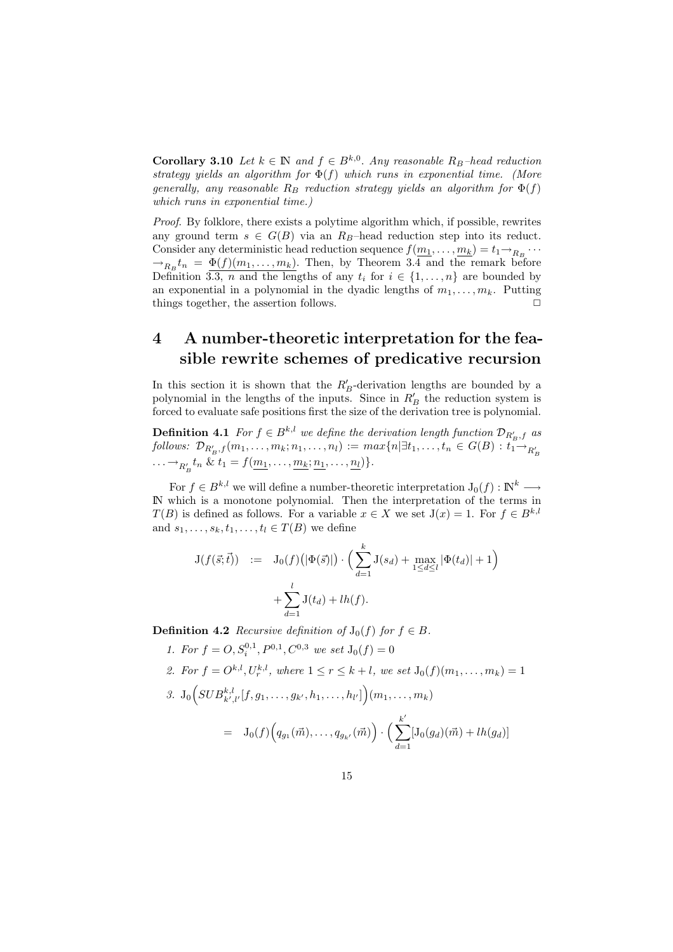**Corollary 3.10** Let  $k \in \mathbb{N}$  and  $f \in B^{k,0}$ . Any reasonable  $R_B$ -head reduction strategy yields an algorithm for  $\Phi(f)$  which runs in exponential time. (More generally, any reasonable  $R_B$  reduction strategy yields an algorithm for  $\Phi(f)$ which runs in exponential time.)

Proof. By folklore, there exists a polytime algorithm which, if possible, rewrites any ground term  $s \in G(B)$  via an  $R_B$ -head reduction step into its reduct. Consider any deterministic head reduction sequence  $f(\underline{m_1}, \ldots, \underline{m_k}) = t_1 \rightarrow_{R_B} \cdots$  $\rightarrow_{R_B} t_n = \underline{\Phi(f)(m_1,\ldots,m_k)}$ . Then, by Theorem 3.4 and the remark before Definition 3.3, *n* and the lengths of any  $t_i$  for  $i \in \{1, \ldots, n\}$  are bounded by an exponential in a polynomial in the dyadic lengths of  $m_1, \ldots, m_k$ . Putting things together, the assertion follows.  $\Box$ 

# 4 A number-theoretic interpretation for the feasible rewrite schemes of predicative recursion

In this section it is shown that the  $R'_B$ -derivation lengths are bounded by a polynomial in the lengths of the inputs. Since in  $R'_B$  the reduction system is forced to evaluate safe positions first the size of the derivation tree is polynomial.

**Definition 4.1** For  $f \in B^{k,l}$  we define the derivation length function  $\mathcal{D}_{R'_R,f}$  as  $\text{follows: } \mathcal{D}_{R'_{B},f}(m_{1},\ldots,m_{k};n_{1},\ldots,n_{l}) := max\{n|\exists t_{1},\ldots,t_{n} \in G(B): t_{1} \rightarrow t_{R'_{B}},$  $\ldots \rightarrow_{R'_B} t_n \& t_1 = f(\underline{m_1}, \ldots, \underline{m_k}; \underline{n_1}, \ldots, \underline{n_l})\}.$ 

For  $f \in B^{k,l}$  we will define a number-theoretic interpretation  $J_0(f) : \mathbb{N}^k \longrightarrow$ IN which is a monotone polynomial. Then the interpretation of the terms in  $T(B)$  is defined as follows. For a variable  $x \in X$  we set  $J(x) = 1$ . For  $f \in B^{k,l}$ and  $s_1, \ldots, s_k, t_1, \ldots, t_l \in T(B)$  we define

$$
J(f(\vec{s};\vec{t})) := J_0(f) (|\Phi(\vec{s})|) \cdot \left( \sum_{d=1}^k J(s_d) + \max_{1 \le d \le l} |\Phi(t_d)| + 1 \right) + \sum_{d=1}^l J(t_d) + lh(f).
$$

**Definition 4.2** Recursive definition of  $J_0(f)$  for  $f \in B$ .

- 1. For  $f = O, S_i^{0,1}, P^{0,1}, C^{0,3}$  we set  $J_0(f) = 0$
- 2. For  $f = O^{k,l}, U_r^{k,l}$ , where  $1 \le r \le k+l$ , we set  $J_0(f)(m_1, \ldots, m_k) = 1$
- 3.  $J_0\Big(SUB_{k',l'}^{k,l}[f,g_1,\ldots,g_{k'},h_1,\ldots,h_{l'}]\Big)(m_1,\ldots,m_k)$

$$
= J_0(f) \Big( q_{g_1}(\vec{m}), \ldots, q_{g_{k'}}(\vec{m}) \Big) \cdot \Big( \sum_{d=1}^{k'} [J_0(g_d)(\vec{m}) + lh(g_d)]
$$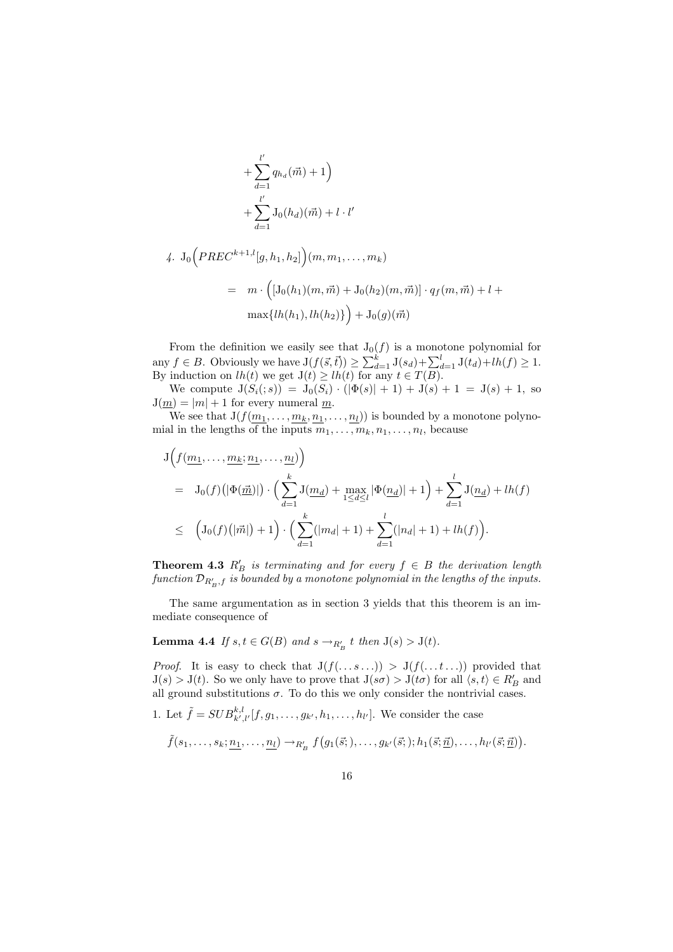+
$$
\sum_{d=1}^{l'} q_{h_d}(\vec{m}) + 1
$$
  
+
$$
\sum_{d=1}^{l'} J_0(h_d)(\vec{m}) + l \cdot l'
$$

4. 
$$
J_0\Big(PREC^{k+1,l}[g, h_1, h_2]\Big)(m, m_1, \dots, m_k)
$$
  
\n
$$
= m \cdot \Big([J_0(h_1)(m, \vec{m}) + J_0(h_2)(m, \vec{m})] \cdot q_f(m, \vec{m}) + l +
$$
\n
$$
\max\{lh(h_1), lh(h_2)\}\Big) + J_0(g)(\vec{m})
$$

From the definition we easily see that  $J_0(f)$  is a monotone polynomial for any  $f \in B$ . Obviously we have  $J(f(\vec{s}, \vec{t})) \ge \sum_{d=1}^{k} J(s_d) + \sum_{d=1}^{l} J(t_d) + lh(f) \ge 1$ . By induction on  $lh(t)$  we get  $J(t) \geq lh(t)$  for any  $t \in T(B)$ .

We compute  $J(S_i(s)) = J_0(S_i) \cdot (|\Phi(s)| + 1) + J(s) + 1 = J(s) + 1$ , so  $J(\underline{m}) = |m| + 1$  for every numeral  $\underline{m}$ .

We see that  $J(f(\underline{m_1},\ldots,\underline{m_k},\underline{n_1},\ldots,\underline{n_l}))$  is bounded by a monotone polynomial in the lengths of the inputs  $m_1, \ldots, m_k, n_1, \ldots, n_l$ , because

$$
J\left(f(\underline{m_1},\ldots,\underline{m_k};\underline{n_1},\ldots,\underline{n_l})\right)
$$
  
=  $J_0(f)(|\Phi(\vec{m})|)\cdot \left(\sum_{d=1}^k J(\underline{m_d}) + \max_{1\leq d\leq l} |\Phi(\underline{n_d})| + 1\right) + \sum_{d=1}^l J(\underline{n_d}) + lh(f)$   

$$
\leq \left(J_0(f)(|\vec{m}|) + 1\right)\cdot \left(\sum_{d=1}^k (|m_d| + 1) + \sum_{d=1}^l (|n_d| + 1) + lh(f)\right).
$$

**Theorem 4.3**  $R'_B$  is terminating and for every  $f \in B$  the derivation length function  $\mathcal{D}_{R'_B, f}$  is bounded by a monotone polynomial in the lengths of the inputs.

The same argumentation as in section 3 yields that this theorem is an immediate consequence of

**Lemma 4.4** If  $s, t \in G(B)$  and  $s \rightarrow_{R'_B} t$  then  $J(s) > J(t)$ .

*Proof.* It is easy to check that  $J(f(... s...)) > J(f(... t...))$  provided that  $J(s) > J(t)$ . So we only have to prove that  $J(s\sigma) > J(t\sigma)$  for all  $\langle s,t \rangle \in R'_B$  and all ground substitutions  $\sigma$ . To do this we only consider the nontrivial cases.

1. Let  $\tilde{f} = SUB_{k',l'}^{k,l}[f,g_1,\ldots,g_{k'},h_1,\ldots,h_{l'}].$  We consider the case

$$
\tilde{f}(s_1,\ldots,s_k;\underline{n_1},\ldots,\underline{n_l})\rightarrow_{R'_B} f(g_1(\vec{s};),\ldots,g_{k'}(\vec{s};);h_1(\vec{s};\underline{n}),\ldots,h_{l'}(\vec{s};\underline{n})).
$$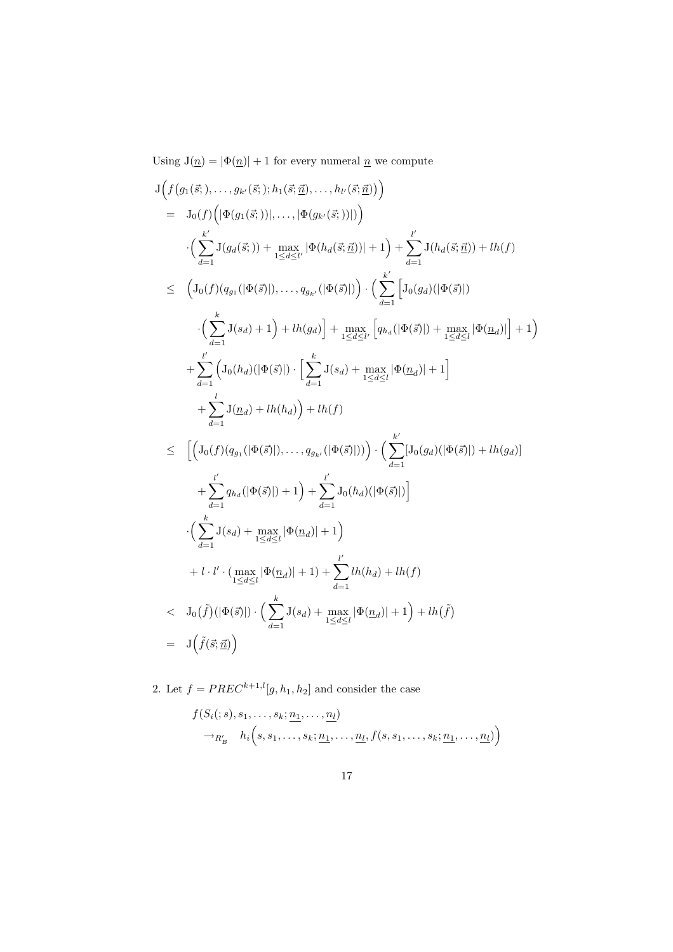Using  $J(\underline{n}) = |\Phi(\underline{n})| + 1$  for every numeral  $\underline{n}$  we compute

$$
J\left(f(g_1(\vec{s};),...,g_{k'}(\vec{s};);h_1(\vec{s};\vec{\underline{n}}),...,h_{k'}(\vec{s};\vec{\underline{n}}))\right) = J_0(f)\left(|\Phi(g_1(\vec{s};))|,...,|\Phi(g_{k'}(\vec{s};))|)\right) \n\cdot \left(\sum_{d=1}^{k'} J(g_d(\vec{s};)) + \max_{1 \leq d \leq k'} |\Phi(h_d(\vec{s};\vec{\underline{n}}))| + 1\right) + \sum_{d=1}^{l'} J(h_d(\vec{s};\vec{\underline{n}})) + lh(f) \n\leq \left(J_0(f)(q_{g_1}(|\Phi(\vec{s})|),...,q_{g_{k'}}(|\Phi(\vec{s})|)\right) \cdot \left(\sum_{d=1}^{k'} [J_0(g_d)(|\Phi(\vec{s})|) - \left(\sum_{d=1}^{k'} J(s_d) + 1\right) + lh(g_d)\right) + \max_{1 \leq d \leq l'} [q_{h_d}(|\Phi(\vec{s})|) + \max_{1 \leq d \leq l} |\Phi(\underline{n}_d)| + 1] \n+ \sum_{d=1}^{l'} \left(J_0(h_d)(|\Phi(\vec{s})|) \cdot \left[\sum_{d=1}^{k} J(s_d) + \max_{1 \leq d \leq l} |\Phi(\underline{n}_d)| + 1\right] \n+ \sum_{d=1}^{l} J(\underline{n}_d) + lh(h_d)\right) + lh(f) \n\leq \left[\left(J_0(f)(q_{g_1}(|\Phi(\vec{s})|),...,q_{g_{k'}}(|\Phi(\vec{s})|))\right) \cdot \left(\sum_{d=1}^{k'} J_0(g_d)(|\Phi(\vec{s})|) + lh(g_d)\right) \n+ \sum_{d=1}^{l'} q_{h_d}(|\Phi(\vec{s})|) + 1\right) + \sum_{d=1}^{l'} J_0(h_d)(|\Phi(\vec{s})|)\right] \n\cdot \left(\sum_{d=1}^{k} J(s_d) + \max_{1 \leq d \leq l} |\Phi(\underline{n}_d)| + 1\right) \n+ l \cdot l' \cdot (\max_{1 \leq d \leq l} |\Phi(\underline{n}_d)| + 1) + \sum_{d=1}^{l'} lh(h_d) + lh(f) \n $\leq J_0(\tilde{f})(|\Phi(\vec{s})|) \cdot \left(\sum_{d=1}^{k} J(s_d) + \max_{1 \le$
$$

2. Let  $f = PREC^{k+1,l}[g,h_1,h_2]$  and consider the case

$$
f(S_i(;s), s_1, \ldots, s_k; \underline{n_1}, \ldots, \underline{n_l})
$$
  
\n
$$
\rightarrow_{R'_B} h_i(s, s_1, \ldots, s_k; \underline{n_1}, \ldots, \underline{n_l}, f(s, s_1, \ldots, s_k; \underline{n_1}, \ldots, \underline{n_l}))
$$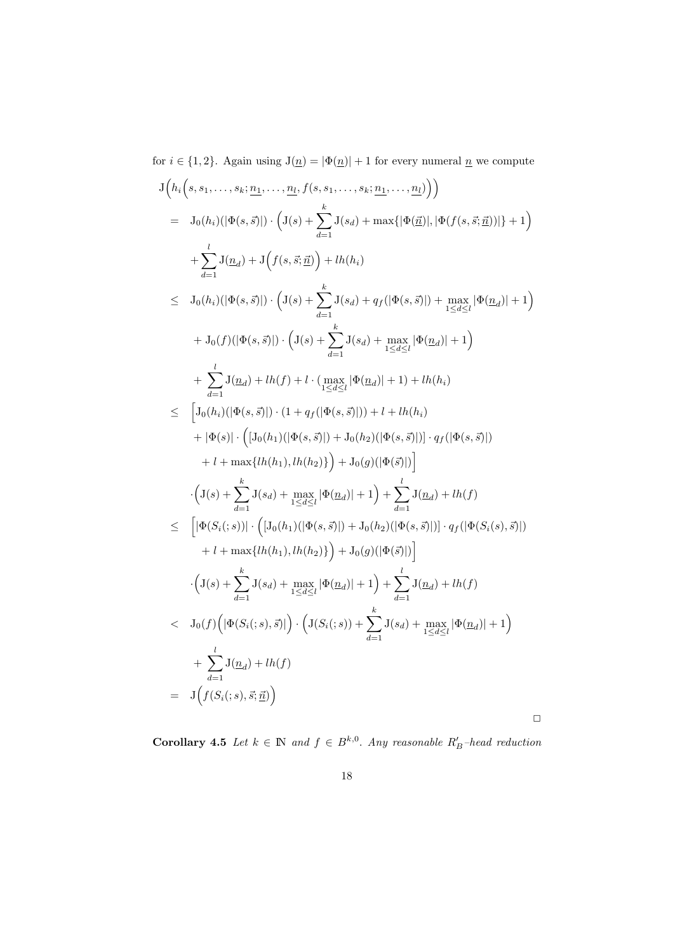for  $i \in \{1, 2\}$ . Again using  $J(\underline{n}) = |\Phi(\underline{n})| + 1$  for every numeral  $\underline{n}$  we compute

$$
J\left(h_i\left(s, s_1, \ldots, s_k; \underbrace{n_1, \ldots, n_l}_{d=1}, f(s, s_1, \ldots, s_k; \underbrace{n_1, \ldots, n_l}_{d=1}\right)\right)
$$
\n
$$
= J_0(h_i)\left(|\Phi(s, \vec{s})|\right) \cdot \left(J(s) + \sum_{d=1}^k J(s_d) + \max\{|\Phi(\vec{u})|, |\Phi(f(s, \vec{s}; \vec{u}))|\} + 1\right)
$$
\n
$$
+ \sum_{d=1}^l J(\underbrace{n_d}) + J\left(f(s, \vec{s}; \vec{\underline{u}})\right) + lh(h_i)
$$
\n
$$
\leq J_0(h_i)\left(|\Phi(s, \vec{s})|\right) \cdot \left(J(s) + \sum_{d=1}^k J(s_d) + q_f(|\Phi(s, \vec{s})|) + \max_{1 \leq d \leq l} |\Phi(\underbrace{n_d})| + 1\right)
$$
\n
$$
+ J_0(f)\left(|\Phi(s, \vec{s})|\right) \cdot \left(J(s) + \sum_{d=1}^k J(s_d) + \max_{1 \leq d \leq l} |\Phi(\underbrace{n_d})| + 1\right)
$$
\n
$$
+ \sum_{d=1}^l J(\underbrace{n_d}) + lh(f) + l \cdot (\max_{1 \leq d \leq l} |\Phi(\underbrace{n_d})| + 1) + lh(h_i)
$$
\n
$$
\leq \left[J_0(h_i)\left(|\Phi(s, \vec{s})|\right) \cdot (1 + q_f(|\Phi(s, \vec{s})|)) + l + lh(h_i)
$$
\n
$$
+ |\Phi(s)| \cdot \left([J_0(h_1)\left(|\Phi(s, \vec{s})|\right) + J_0(g)\left(|\Phi(s, \vec{s})|\right)\right) \cdot q_f(|\Phi(s, \vec{s})|)\right)
$$
\n
$$
+ l + \max\{lh(h_i), lh(h_2)\}\right) + J_0(g)\left(|\Phi(\vec{s})|\right)
$$
\n
$$
\cdot \left(J(s) + \sum_{d=1}^k J(s_d) + \max_{1 \leq d \leq l} |\Phi(\underbrace{n_d})| + 1\right) + \sum_{d=1}^l J(\underbrace{n_d}) + lh(f)
$$
\n
$$
\leq \left[|\Phi(S_i(s))|\right) \cdot \left([J_0(h_1)\left(|\Phi(s, \vec{s})|\right) + J_0
$$

**Corollary 4.5** Let  $k \in \mathbb{N}$  and  $f \in B^{k,0}$ . Any reasonable  $R'_B$ -head reduction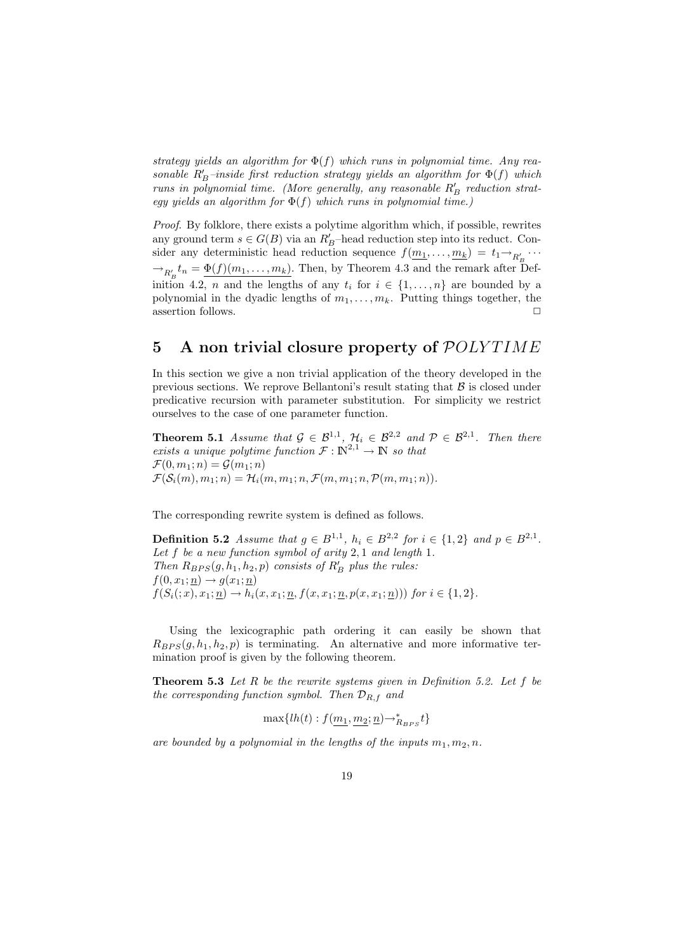strategy yields an algorithm for  $\Phi(f)$  which runs in polynomial time. Any reasonable  $R'_B$ -inside first reduction strategy yields an algorithm for  $\Phi(f)$  which runs in polynomial time. (More generally, any reasonable  $R'_B$  reduction strategy yields an algorithm for  $\Phi(f)$  which runs in polynomial time.)

Proof. By folklore, there exists a polytime algorithm which, if possible, rewrites any ground term  $s \in G(B)$  via an  $R'_B$ -head reduction step into its reduct. Consider any deterministic head reduction sequence  $f(\underline{m_1}, \ldots, \underline{m_k}) = t_1 \rightarrow_{R'_B} \cdots$  $\rightarrow_{R'_R} t_n = \underline{\Phi(f)(m_1, \ldots, m_k)}$ . Then, by Theorem 4.3 and the remark after Definition 4.2, *n* and the lengths of any  $t_i$  for  $i \in \{1, ..., n\}$  are bounded by a polynomial in the dyadic lengths of  $m_1, \ldots, m_k$ . Putting things together, the assertion follows.  $\Box$ 

# 5 A non trivial closure property of  $POLYTIME$

In this section we give a non trivial application of the theory developed in the previous sections. We reprove Bellantoni's result stating that  $\beta$  is closed under predicative recursion with parameter substitution. For simplicity we restrict ourselves to the case of one parameter function.

**Theorem 5.1** Assume that  $\mathcal{G} \in \mathcal{B}^{1,1}$ ,  $\mathcal{H}_i \in \mathcal{B}^{2,2}$  and  $\mathcal{P} \in \mathcal{B}^{2,1}$ . Then there exists a unique polytime function  $\mathcal{F}: \mathbb{N}^{2,1} \to \mathbb{N}$  so that  $\mathcal{F}(0,m_1;n) = \mathcal{G}(m_1;n)$  $\mathcal{F}(\mathcal{S}_i(m), m_1; n) = \mathcal{H}_i(m, m_1; n, \mathcal{F}(m, m_1; n, \mathcal{P}(m, m_1; n)).$ 

The corresponding rewrite system is defined as follows.

**Definition 5.2** Assume that  $g \in B^{1,1}$ ,  $h_i \in B^{2,2}$  for  $i \in \{1,2\}$  and  $p \in B^{2,1}$ . Let  $f$  be a new function symbol of arity  $2, 1$  and length  $1$ . Then  $R_{BPS}(g, h_1, h_2, p)$  consists of  $R'_B$  plus the rules:  $f(0, x_1; n) \to g(x_1; n)$  $f(S_i(:,x), x_1; \underline{n}) \rightarrow h_i(x, x_1; \underline{n}, f(x, x_1; \underline{n}, p(x, x_1; \underline{n})))$  for  $i \in \{1, 2\}.$ 

Using the lexicographic path ordering it can easily be shown that  $R_{BPS}(g,h_1,h_2,p)$  is terminating. An alternative and more informative termination proof is given by the following theorem.

**Theorem 5.3** Let R be the rewrite systems given in Definition 5.2. Let f be the corresponding function symbol. Then  $\mathcal{D}_{R,f}$  and

$$
\max\{lh(t):f(\underline{m_1},\underline{m_2};\underline{n}){\rightarrow^*_{R_{BPS}}t}\}
$$

are bounded by a polynomial in the lengths of the inputs  $m_1, m_2, n$ .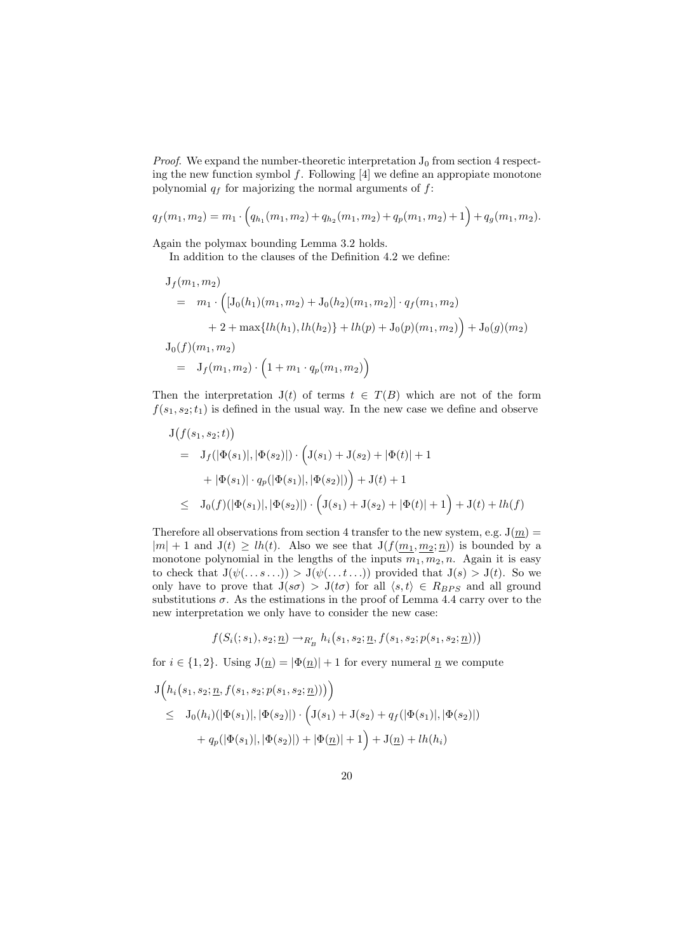*Proof.* We expand the number-theoretic interpretation  $J_0$  from section 4 respecting the new function symbol  $f$ . Following [4] we define an appropiate monotone polynomial  $q_f$  for majorizing the normal arguments of  $f$ :

$$
q_f(m_1, m_2) = m_1 \cdot \Big( q_{h_1}(m_1, m_2) + q_{h_2}(m_1, m_2) + q_p(m_1, m_2) + 1 \Big) + q_g(m_1, m_2).
$$

Again the polymax bounding Lemma 3.2 holds.

In addition to the clauses of the Definition 4.2 we define:

$$
J_f(m_1, m_2)
$$
  
=  $m_1 \cdot ([J_0(h_1)(m_1, m_2) + J_0(h_2)(m_1, m_2)] \cdot q_f(m_1, m_2)$   
+  $2 + \max\{lh(h_1), lh(h_2)\} + lh(p) + J_0(p)(m_1, m_2)\} + J_0(g)(m_2)$   

$$
J_0(f)(m_1, m_2)
$$
  
=  $J_f(m_1, m_2) \cdot (1 + m_1 \cdot q_p(m_1, m_2))$ 

Then the interpretation  $J(t)$  of terms  $t \in T(B)$  which are not of the form  $f(s_1, s_2; t_1)$  is defined in the usual way. In the new case we define and observe

$$
J(f(s_1, s_2; t))
$$
  
=  $J_f(|\Phi(s_1)|, |\Phi(s_2)|) \cdot (J(s_1) + J(s_2) + |\Phi(t)| + 1$   
+  $|\Phi(s_1)| \cdot q_p(|\Phi(s_1)|, |\Phi(s_2)|) + J(t) + 1$   
 $\leq J_0(f)(|\Phi(s_1)|, |\Phi(s_2)|) \cdot (J(s_1) + J(s_2) + |\Phi(t)| + 1) + J(t) + lh(f)$ 

Therefore all observations from section 4 transfer to the new system, e.g.  $J(m) =$  $|m| + 1$  and  $J(t) \geq lh(t)$ . Also we see that  $J(f(m_1, m_2; \underline{n}))$  is bounded by a monotone polynomial in the lengths of the inputs  $\overline{m_1,m_2,n}$ . Again it is easy to check that  $J(\psi(\ldots s \ldots)) > J(\psi(\ldots t \ldots))$  provided that  $J(s) > J(t)$ . So we only have to prove that  $J(s\sigma) > J(t\sigma)$  for all  $\langle s,t \rangle \in R_{BPS}$  and all ground substitutions  $\sigma$ . As the estimations in the proof of Lemma 4.4 carry over to the new interpretation we only have to consider the new case:

$$
f(S_i(:, s_1), s_2; \underline{n}) \rightarrow_{R'_B} h_i(s_1, s_2; \underline{n}, f(s_1, s_2; p(s_1, s_2; \underline{n})))
$$

for  $i \in \{1, 2\}$ . Using  $J(\underline{n}) = |\Phi(\underline{n})| + 1$  for every numeral  $\underline{n}$  we compute

$$
J\left(h_i(s_1, s_2; \underline{n}, f(s_1, s_2; p(s_1, s_2; \underline{n})))\right)
$$
  
\n
$$
\leq J_0(h_i)(|\Phi(s_1)|, |\Phi(s_2)|) \cdot \left(J(s_1) + J(s_2) + q_f(|\Phi(s_1)|, |\Phi(s_2)|) + q_p(|\Phi(s_1)|, |\Phi(s_2)|) + |\Phi(\underline{n})| + 1\right) + J(\underline{n}) + lh(h_i)
$$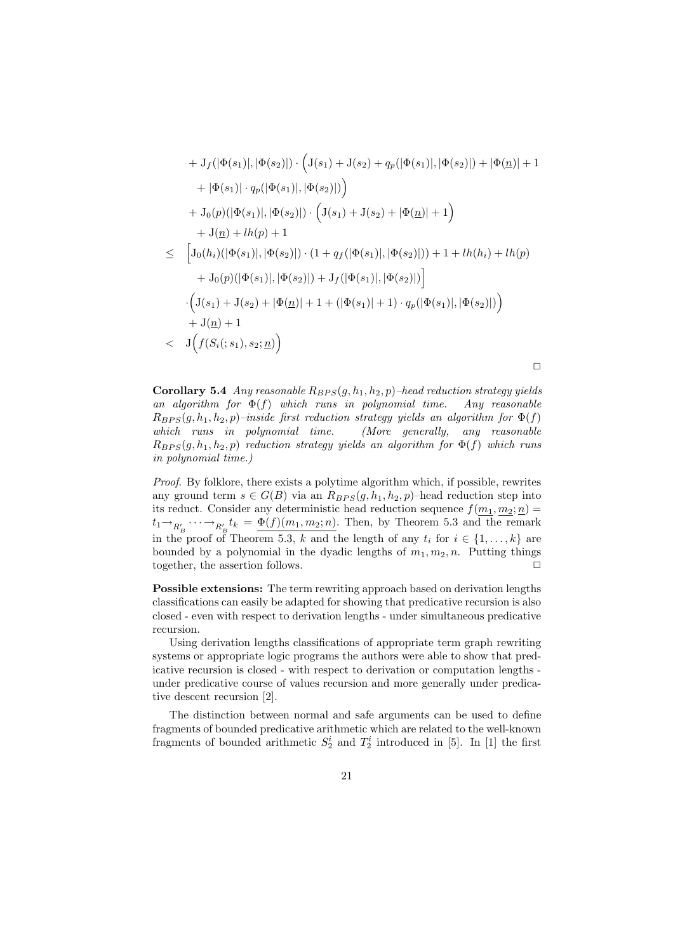+ 
$$
J_f(|\Phi(s_1)|, |\Phi(s_2)|) \cdot (J(s_1) + J(s_2) + q_p(|\Phi(s_1)|, |\Phi(s_2)|) + |\Phi(\underline{n})| + 1
$$
  
+  $|\Phi(s_1)| \cdot q_p(|\Phi(s_1)|, |\Phi(s_2)|)$ )  
+  $J_0(p)(|\Phi(s_1)|, |\Phi(s_2)|) \cdot (J(s_1) + J(s_2) + |\Phi(\underline{n})| + 1)$   
+  $J(\underline{n}) + lh(p) + 1$   
 $\leq [J_0(h_i)(|\Phi(s_1)|, |\Phi(s_2)|) \cdot (1 + q_f(|\Phi(s_1)|, |\Phi(s_2)|)) + 1 + lh(h_i) + lh(p)$   
+  $J_0(p)(|\Phi(s_1)|, |\Phi(s_2)|) + J_f(|\Phi(s_1)|, |\Phi(s_2)|)$ )  
-  $(J(s_1) + J(s_2) + |\Phi(\underline{n})| + 1 + (|\Phi(s_1)| + 1) \cdot q_p(|\Phi(s_1)|, |\Phi(s_2)|))$   
+  $J(\underline{n}) + 1$   
 $\leq J(f(S_i(s_1), s_2; \underline{n}))$ 

**Corollary 5.4** Any reasonable  $R_{BPS}(g,h_1,h_2,p)$ –head reduction strategy yields an algorithm for  $\Phi(f)$  which runs in polynomial time. Any reasonable  $R_{BPS}(g,h_1,h_2,p)$ –inside first reduction strategy yields an algorithm for  $\Phi(f)$ which runs in polynomial time. (More generally, any reasonable  $R_{BPS}(g,h_1,h_2,p)$  reduction strategy yields an algorithm for  $\Phi(f)$  which runs in polynomial time.)

Proof. By folklore, there exists a polytime algorithm which, if possible, rewrites any ground term  $s \in G(B)$  via an  $R_{BPS}(g, h_1, h_2, p)$ -head reduction step into its reduct. Consider any deterministic head reduction sequence  $f(m_1, m_2; \underline{n}) =$  $t_1 \rightarrow_{R'_B} \cdots \rightarrow_{R'_B} t_k = \underline{\Phi(f)(m_1, m_2; n)}$ . Then, by Theorem 5.3 and the remark in the proof of Theorem 5.3, k and the length of any  $t_i$  for  $i \in \{1, ..., k\}$  are bounded by a polynomial in the dyadic lengths of  $m_1, m_2, n$ . Putting things together the assertion follows together, the assertion follows.

Possible extensions: The term rewriting approach based on derivation lengths classifications can easily be adapted for showing that predicative recursion is also closed - even with respect to derivation lengths - under simultaneous predicative recursion.

Using derivation lengths classifications of appropriate term graph rewriting systems or appropriate logic programs the authors were able to show that predicative recursion is closed - with respect to derivation or computation lengths under predicative course of values recursion and more generally under predicative descent recursion [2].

The distinction between normal and safe arguments can be used to define fragments of bounded predicative arithmetic which are related to the well-known fragments of bounded arithmetic  $S_2^i$  and  $T_2^i$  introduced in [5]. In [1] the first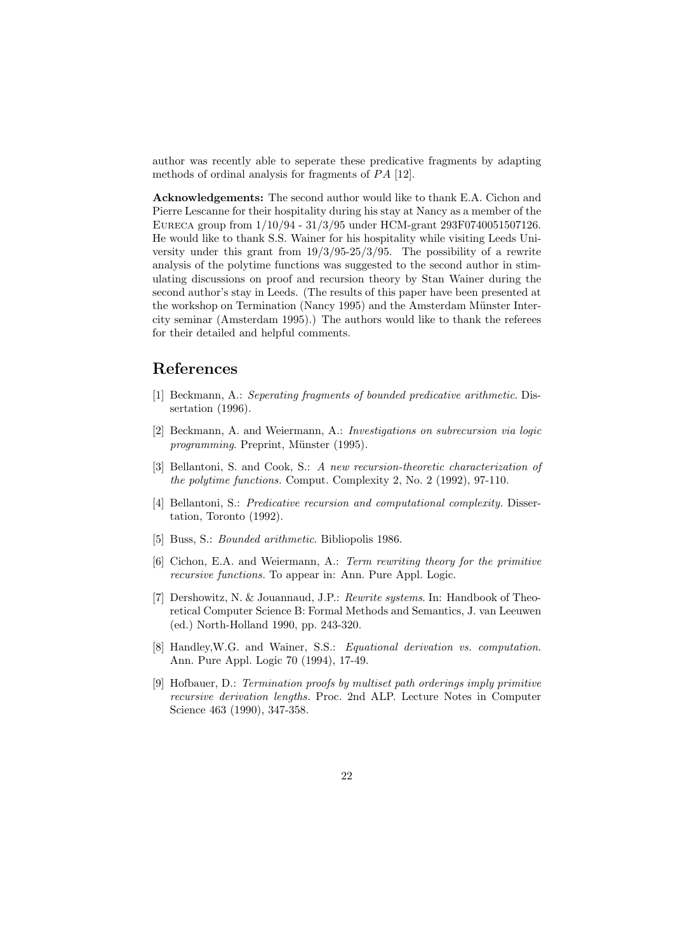author was recently able to seperate these predicative fragments by adapting methods of ordinal analysis for fragments of PA [12].

Acknowledgements: The second author would like to thank E.A. Cichon and Pierre Lescanne for their hospitality during his stay at Nancy as a member of the Eureca group from 1/10/94 - 31/3/95 under HCM-grant 293F0740051507126. He would like to thank S.S. Wainer for his hospitality while visiting Leeds University under this grant from  $19/3/95-25/3/95$ . The possibility of a rewrite analysis of the polytime functions was suggested to the second author in stimulating discussions on proof and recursion theory by Stan Wainer during the second author's stay in Leeds. (The results of this paper have been presented at the workshop on Termination (Nancy 1995) and the Amsterdam Münster Intercity seminar (Amsterdam 1995).) The authors would like to thank the referees for their detailed and helpful comments.

## References

- [1] Beckmann, A.: Seperating fragments of bounded predicative arithmetic. Dissertation (1996).
- [2] Beckmann, A. and Weiermann, A.: Investigations on subrecursion via logic programming. Preprint, Münster (1995).
- [3] Bellantoni, S. and Cook, S.: A new recursion-theoretic characterization of the polytime functions. Comput. Complexity 2, No. 2 (1992), 97-110.
- [4] Bellantoni, S.: Predicative recursion and computational complexity. Dissertation, Toronto (1992).
- [5] Buss, S.: Bounded arithmetic. Bibliopolis 1986.
- [6] Cichon, E.A. and Weiermann, A.: Term rewriting theory for the primitive recursive functions. To appear in: Ann. Pure Appl. Logic.
- [7] Dershowitz, N. & Jouannaud, J.P.: Rewrite systems. In: Handbook of Theoretical Computer Science B: Formal Methods and Semantics, J. van Leeuwen (ed.) North-Holland 1990, pp. 243-320.
- [8] Handley, W.G. and Wainer, S.S.: Equational derivation vs. computation. Ann. Pure Appl. Logic 70 (1994), 17-49.
- [9] Hofbauer, D.: Termination proofs by multiset path orderings imply primitive recursive derivation lengths. Proc. 2nd ALP. Lecture Notes in Computer Science 463 (1990), 347-358.